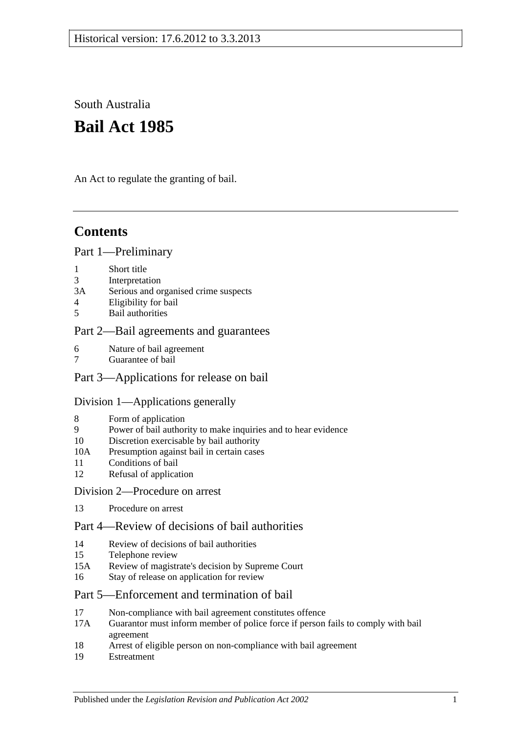South Australia

# **Bail Act 1985**

An Act to regulate the granting of bail.

## **Contents**

### [Part 1—Preliminary](#page-1-0)

- 1 [Short title](#page-1-1)
- 3 [Interpretation](#page-1-2)
- 3A [Serious and organised crime suspects](#page-2-0)
- 4 [Eligibility for bail](#page-3-0)
- 5 [Bail authorities](#page-4-0)

## [Part 2—Bail agreements and guarantees](#page-4-1)

- 6 [Nature of bail agreement](#page-4-2)
- 7 [Guarantee of bail](#page-6-0)

## [Part 3—Applications for release on bail](#page-6-1)

## [Division 1—Applications generally](#page-6-2)

- 8 [Form of application](#page-6-3)
- 9 [Power of bail authority to make inquiries and to hear evidence](#page-7-0)
- 10 [Discretion exercisable by bail authority](#page-7-1)
- 10A [Presumption against bail in certain cases](#page-8-0)
- 11 [Conditions of bail](#page-9-0)
- 12 [Refusal of application](#page-12-0)

## [Division 2—Procedure on arrest](#page-13-0)

13 [Procedure on arrest](#page-13-1)

## [Part 4—Review of decisions of bail authorities](#page-13-2)

- 14 [Review of decisions of bail authorities](#page-13-3)
- 15 [Telephone review](#page-14-0)
- 15A [Review of magistrate's decision by Supreme Court](#page-15-0)
- 16 [Stay of release on application for review](#page-15-1)

## [Part 5—Enforcement and termination of bail](#page-16-0)

- 17 [Non-compliance with bail agreement constitutes offence](#page-16-1)
- 17A [Guarantor must inform member of police force if person fails to comply with bail](#page-16-2)  [agreement](#page-16-2)
- 18 [Arrest of eligible person on non-compliance with bail agreement](#page-16-3)
- 19 [Estreatment](#page-17-0)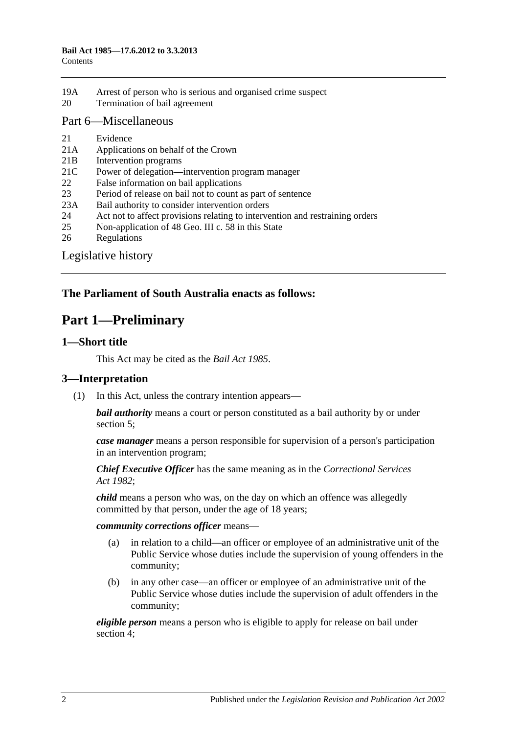19A [Arrest of person who is serious and organised crime suspect](#page-17-1) 20 [Termination of bail agreement](#page-17-2)

### [Part 6—Miscellaneous](#page-18-0)

- 21 [Evidence](#page-18-1)
- 21A [Applications on behalf of the Crown](#page-18-2)
- 21B [Intervention programs](#page-18-3)
- 21C [Power of delegation—intervention program manager](#page-19-0)
- 22 [False information on bail applications](#page-19-1)
- 23 [Period of release on bail not to count as part of sentence](#page-19-2)
- 23A [Bail authority to consider intervention orders](#page-20-0)
- 24 [Act not to affect provisions relating to intervention and restraining orders](#page-20-1)
- 25 [Non-application of 48 Geo. III c. 58 in this State](#page-20-2)
- 26 [Regulations](#page-20-3)

[Legislative history](#page-21-0)

## <span id="page-1-0"></span>**The Parliament of South Australia enacts as follows:**

## **Part 1—Preliminary**

## <span id="page-1-1"></span>**1—Short title**

This Act may be cited as the *Bail Act 1985*.

## <span id="page-1-2"></span>**3—Interpretation**

(1) In this Act, unless the contrary intention appears—

*bail authority* means a court or person constituted as a bail authority by or under [section](#page-4-0) 5;

*case manager* means a person responsible for supervision of a person's participation in an intervention program;

*Chief Executive Officer* has the same meaning as in the *[Correctional Services](http://www.legislation.sa.gov.au/index.aspx?action=legref&type=act&legtitle=Correctional%20Services%20Act%201982)  Act [1982](http://www.legislation.sa.gov.au/index.aspx?action=legref&type=act&legtitle=Correctional%20Services%20Act%201982)*;

*child* means a person who was, on the day on which an offence was allegedly committed by that person, under the age of 18 years;

#### *community corrections officer* means—

- (a) in relation to a child—an officer or employee of an administrative unit of the Public Service whose duties include the supervision of young offenders in the community;
- (b) in any other case—an officer or employee of an administrative unit of the Public Service whose duties include the supervision of adult offenders in the community;

*eligible person* means a person who is eligible to apply for release on bail under [section](#page-3-0) 4;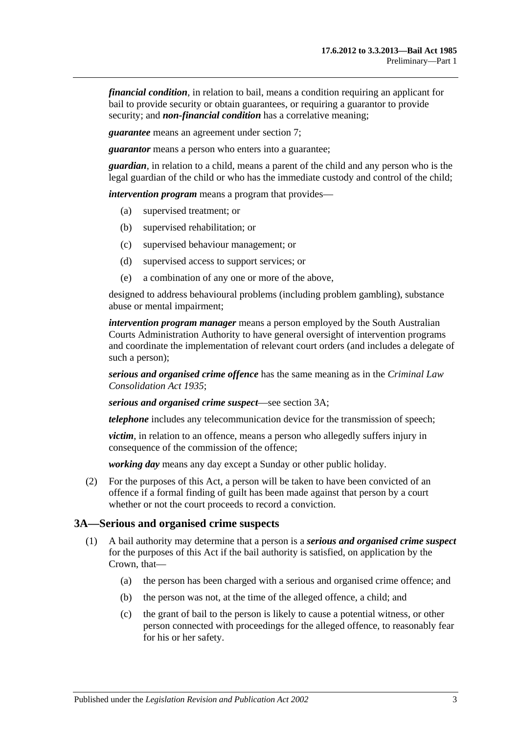*financial condition*, in relation to bail, means a condition requiring an applicant for bail to provide security or obtain guarantees, or requiring a guarantor to provide security; and *non-financial condition* has a correlative meaning;

*guarantee* means an agreement under [section](#page-6-0) 7;

*guarantor* means a person who enters into a guarantee;

*guardian*, in relation to a child, means a parent of the child and any person who is the legal guardian of the child or who has the immediate custody and control of the child;

*intervention program* means a program that provides—

- (a) supervised treatment; or
- (b) supervised rehabilitation; or
- (c) supervised behaviour management; or
- (d) supervised access to support services; or
- (e) a combination of any one or more of the above,

designed to address behavioural problems (including problem gambling), substance abuse or mental impairment;

*intervention program manager* means a person employed by the South Australian Courts Administration Authority to have general oversight of intervention programs and coordinate the implementation of relevant court orders (and includes a delegate of such a person);

*serious and organised crime offence* has the same meaning as in the *[Criminal Law](http://www.legislation.sa.gov.au/index.aspx?action=legref&type=act&legtitle=Criminal%20Law%20Consolidation%20Act%201935)  [Consolidation Act](http://www.legislation.sa.gov.au/index.aspx?action=legref&type=act&legtitle=Criminal%20Law%20Consolidation%20Act%201935) 1935*;

*serious and organised crime suspect*—see [section](#page-2-0) 3A;

*telephone* includes any telecommunication device for the transmission of speech;

*victim*, in relation to an offence, means a person who allegedly suffers injury in consequence of the commission of the offence;

*working day* means any day except a Sunday or other public holiday.

(2) For the purposes of this Act, a person will be taken to have been convicted of an offence if a formal finding of guilt has been made against that person by a court whether or not the court proceeds to record a conviction.

#### <span id="page-2-0"></span>**3A—Serious and organised crime suspects**

- <span id="page-2-3"></span><span id="page-2-2"></span><span id="page-2-1"></span>(1) A bail authority may determine that a person is a *serious and organised crime suspect* for the purposes of this Act if the bail authority is satisfied, on application by the Crown, that—
	- (a) the person has been charged with a serious and organised crime offence; and
	- (b) the person was not, at the time of the alleged offence, a child; and
	- (c) the grant of bail to the person is likely to cause a potential witness, or other person connected with proceedings for the alleged offence, to reasonably fear for his or her safety.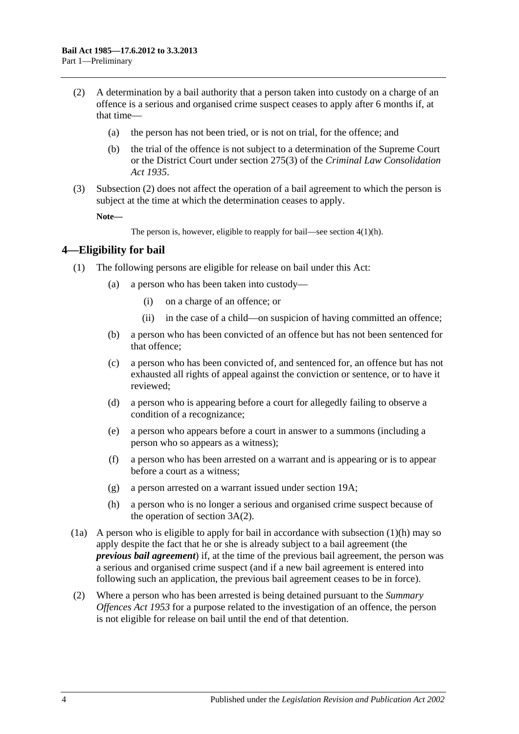- <span id="page-3-1"></span>(2) A determination by a bail authority that a person taken into custody on a charge of an offence is a serious and organised crime suspect ceases to apply after 6 months if, at that time—
	- (a) the person has not been tried, or is not on trial, for the offence; and
	- (b) the trial of the offence is not subject to a determination of the Supreme Court or the District Court under section 275(3) of the *[Criminal Law Consolidation](http://www.legislation.sa.gov.au/index.aspx?action=legref&type=act&legtitle=Criminal%20Law%20Consolidation%20Act%201935)  Act [1935](http://www.legislation.sa.gov.au/index.aspx?action=legref&type=act&legtitle=Criminal%20Law%20Consolidation%20Act%201935)*.
- (3) [Subsection](#page-3-1) (2) does not affect the operation of a bail agreement to which the person is subject at the time at which the determination ceases to apply.

**Note—**

The person is, however, eligible to reapply for bail—see section [4\(1\)\(h\).](#page-3-2)

### <span id="page-3-0"></span>**4—Eligibility for bail**

- (1) The following persons are eligible for release on bail under this Act:
	- (a) a person who has been taken into custody—
		- (i) on a charge of an offence; or
		- (ii) in the case of a child—on suspicion of having committed an offence;
	- (b) a person who has been convicted of an offence but has not been sentenced for that offence;
	- (c) a person who has been convicted of, and sentenced for, an offence but has not exhausted all rights of appeal against the conviction or sentence, or to have it reviewed;
	- (d) a person who is appearing before a court for allegedly failing to observe a condition of a recognizance;
	- (e) a person who appears before a court in answer to a summons (including a person who so appears as a witness);
	- (f) a person who has been arrested on a warrant and is appearing or is to appear before a court as a witness;
	- (g) a person arrested on a warrant issued under [section](#page-17-1) 19A;
	- (h) a person who is no longer a serious and organised crime suspect because of the operation of [section](#page-3-1) 3A(2).
- <span id="page-3-2"></span>(1a) A person who is eligible to apply for bail in accordance with [subsection](#page-3-2)  $(1)(h)$  may so apply despite the fact that he or she is already subject to a bail agreement (the *previous bail agreement*) if, at the time of the previous bail agreement, the person was a serious and organised crime suspect (and if a new bail agreement is entered into following such an application, the previous bail agreement ceases to be in force).
- (2) Where a person who has been arrested is being detained pursuant to the *[Summary](http://www.legislation.sa.gov.au/index.aspx?action=legref&type=act&legtitle=Summary%20Offences%20Act%201953)  [Offences Act](http://www.legislation.sa.gov.au/index.aspx?action=legref&type=act&legtitle=Summary%20Offences%20Act%201953) 1953* for a purpose related to the investigation of an offence, the person is not eligible for release on bail until the end of that detention.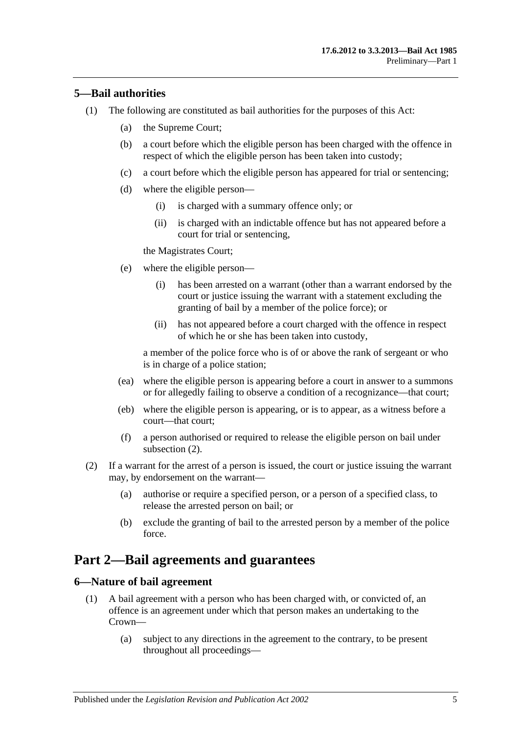### <span id="page-4-0"></span>**5—Bail authorities**

- (1) The following are constituted as bail authorities for the purposes of this Act:
	- (a) the Supreme Court;
	- (b) a court before which the eligible person has been charged with the offence in respect of which the eligible person has been taken into custody;
	- (c) a court before which the eligible person has appeared for trial or sentencing;
	- (d) where the eligible person—
		- (i) is charged with a summary offence only; or
		- (ii) is charged with an indictable offence but has not appeared before a court for trial or sentencing,

the Magistrates Court;

- (e) where the eligible person—
	- (i) has been arrested on a warrant (other than a warrant endorsed by the court or justice issuing the warrant with a statement excluding the granting of bail by a member of the police force); or
	- (ii) has not appeared before a court charged with the offence in respect of which he or she has been taken into custody,

a member of the police force who is of or above the rank of sergeant or who is in charge of a police station;

- (ea) where the eligible person is appearing before a court in answer to a summons or for allegedly failing to observe a condition of a recognizance—that court;
- (eb) where the eligible person is appearing, or is to appear, as a witness before a court—that court;
- (f) a person authorised or required to release the eligible person on bail under [subsection](#page-4-3) (2).
- <span id="page-4-3"></span>(2) If a warrant for the arrest of a person is issued, the court or justice issuing the warrant may, by endorsement on the warrant—
	- (a) authorise or require a specified person, or a person of a specified class, to release the arrested person on bail; or
	- (b) exclude the granting of bail to the arrested person by a member of the police force.

## <span id="page-4-1"></span>**Part 2—Bail agreements and guarantees**

### <span id="page-4-4"></span><span id="page-4-2"></span>**6—Nature of bail agreement**

- (1) A bail agreement with a person who has been charged with, or convicted of, an offence is an agreement under which that person makes an undertaking to the Crown—
	- (a) subject to any directions in the agreement to the contrary, to be present throughout all proceedings—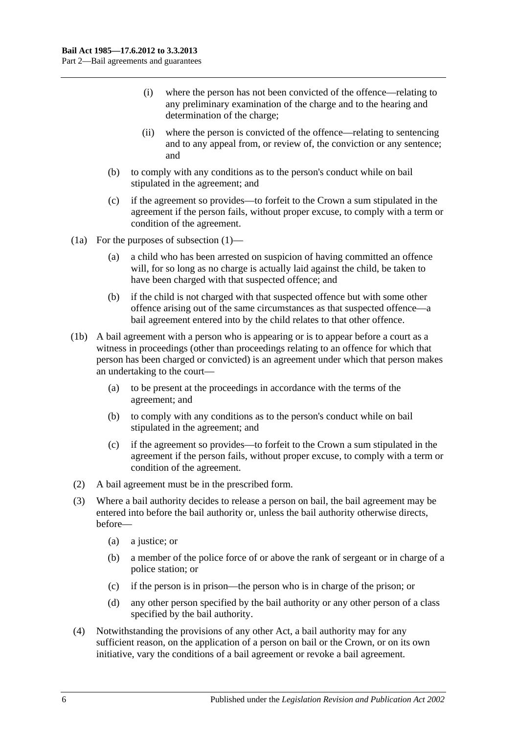- (i) where the person has not been convicted of the offence—relating to any preliminary examination of the charge and to the hearing and determination of the charge;
- (ii) where the person is convicted of the offence—relating to sentencing and to any appeal from, or review of, the conviction or any sentence; and
- (b) to comply with any conditions as to the person's conduct while on bail stipulated in the agreement; and
- (c) if the agreement so provides—to forfeit to the Crown a sum stipulated in the agreement if the person fails, without proper excuse, to comply with a term or condition of the agreement.
- (1a) For the purposes of [subsection](#page-4-4) (1)—
	- (a) a child who has been arrested on suspicion of having committed an offence will, for so long as no charge is actually laid against the child, be taken to have been charged with that suspected offence; and
	- (b) if the child is not charged with that suspected offence but with some other offence arising out of the same circumstances as that suspected offence—a bail agreement entered into by the child relates to that other offence.
- (1b) A bail agreement with a person who is appearing or is to appear before a court as a witness in proceedings (other than proceedings relating to an offence for which that person has been charged or convicted) is an agreement under which that person makes an undertaking to the court—
	- (a) to be present at the proceedings in accordance with the terms of the agreement; and
	- (b) to comply with any conditions as to the person's conduct while on bail stipulated in the agreement; and
	- (c) if the agreement so provides—to forfeit to the Crown a sum stipulated in the agreement if the person fails, without proper excuse, to comply with a term or condition of the agreement.
- (2) A bail agreement must be in the prescribed form.
- (3) Where a bail authority decides to release a person on bail, the bail agreement may be entered into before the bail authority or, unless the bail authority otherwise directs, before—
	- (a) a justice; or
	- (b) a member of the police force of or above the rank of sergeant or in charge of a police station; or
	- (c) if the person is in prison—the person who is in charge of the prison; or
	- (d) any other person specified by the bail authority or any other person of a class specified by the bail authority.
- (4) Notwithstanding the provisions of any other Act, a bail authority may for any sufficient reason, on the application of a person on bail or the Crown, or on its own initiative, vary the conditions of a bail agreement or revoke a bail agreement.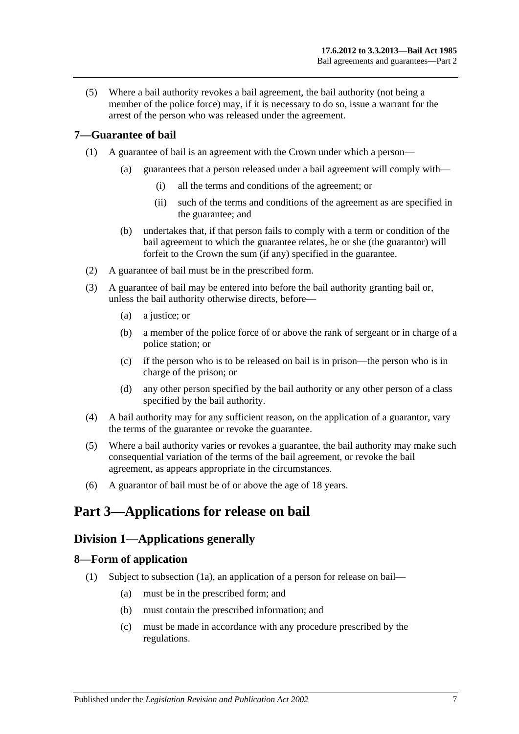(5) Where a bail authority revokes a bail agreement, the bail authority (not being a member of the police force) may, if it is necessary to do so, issue a warrant for the arrest of the person who was released under the agreement.

## <span id="page-6-0"></span>**7—Guarantee of bail**

- (1) A guarantee of bail is an agreement with the Crown under which a person—
	- (a) guarantees that a person released under a bail agreement will comply with—
		- (i) all the terms and conditions of the agreement; or
		- (ii) such of the terms and conditions of the agreement as are specified in the guarantee; and
	- (b) undertakes that, if that person fails to comply with a term or condition of the bail agreement to which the guarantee relates, he or she (the guarantor) will forfeit to the Crown the sum (if any) specified in the guarantee.
- (2) A guarantee of bail must be in the prescribed form.
- (3) A guarantee of bail may be entered into before the bail authority granting bail or, unless the bail authority otherwise directs, before—
	- (a) a justice; or
	- (b) a member of the police force of or above the rank of sergeant or in charge of a police station; or
	- (c) if the person who is to be released on bail is in prison—the person who is in charge of the prison; or
	- (d) any other person specified by the bail authority or any other person of a class specified by the bail authority.
- (4) A bail authority may for any sufficient reason, on the application of a guarantor, vary the terms of the guarantee or revoke the guarantee.
- (5) Where a bail authority varies or revokes a guarantee, the bail authority may make such consequential variation of the terms of the bail agreement, or revoke the bail agreement, as appears appropriate in the circumstances.
- (6) A guarantor of bail must be of or above the age of 18 years.

## <span id="page-6-1"></span>**Part 3—Applications for release on bail**

## <span id="page-6-2"></span>**Division 1—Applications generally**

## <span id="page-6-4"></span><span id="page-6-3"></span>**8—Form of application**

- (1) Subject to [subsection](#page-7-2) (1a), an application of a person for release on bail—
	- (a) must be in the prescribed form; and
	- (b) must contain the prescribed information; and
	- (c) must be made in accordance with any procedure prescribed by the regulations.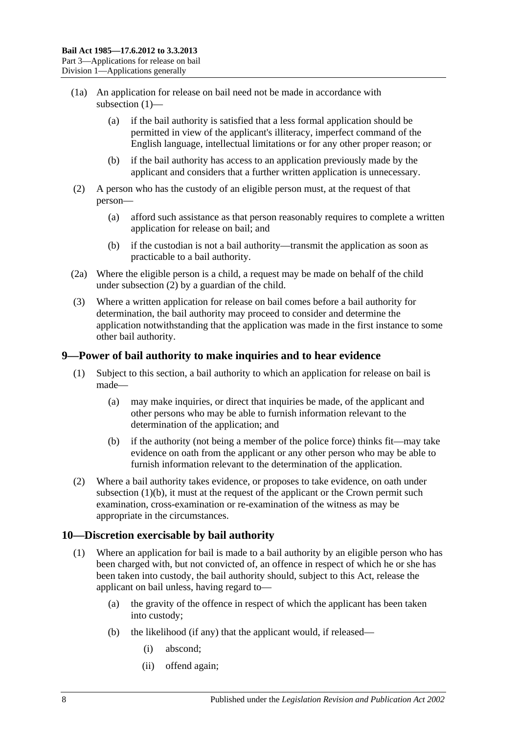- <span id="page-7-2"></span>(1a) An application for release on bail need not be made in accordance with [subsection](#page-6-4) (1)—
	- (a) if the bail authority is satisfied that a less formal application should be permitted in view of the applicant's illiteracy, imperfect command of the English language, intellectual limitations or for any other proper reason; or
	- (b) if the bail authority has access to an application previously made by the applicant and considers that a further written application is unnecessary.
- <span id="page-7-3"></span>(2) A person who has the custody of an eligible person must, at the request of that person—
	- (a) afford such assistance as that person reasonably requires to complete a written application for release on bail; and
	- (b) if the custodian is not a bail authority—transmit the application as soon as practicable to a bail authority.
- (2a) Where the eligible person is a child, a request may be made on behalf of the child under [subsection](#page-7-3) (2) by a guardian of the child.
- (3) Where a written application for release on bail comes before a bail authority for determination, the bail authority may proceed to consider and determine the application notwithstanding that the application was made in the first instance to some other bail authority.

## <span id="page-7-0"></span>**9—Power of bail authority to make inquiries and to hear evidence**

- (1) Subject to this section, a bail authority to which an application for release on bail is made—
	- (a) may make inquiries, or direct that inquiries be made, of the applicant and other persons who may be able to furnish information relevant to the determination of the application; and
	- (b) if the authority (not being a member of the police force) thinks fit—may take evidence on oath from the applicant or any other person who may be able to furnish information relevant to the determination of the application.
- <span id="page-7-4"></span>(2) Where a bail authority takes evidence, or proposes to take evidence, on oath under [subsection](#page-7-4)  $(1)(b)$ , it must at the request of the applicant or the Crown permit such examination, cross-examination or re-examination of the witness as may be appropriate in the circumstances.

## <span id="page-7-1"></span>**10—Discretion exercisable by bail authority**

- (1) Where an application for bail is made to a bail authority by an eligible person who has been charged with, but not convicted of, an offence in respect of which he or she has been taken into custody, the bail authority should, subject to this Act, release the applicant on bail unless, having regard to—
	- (a) the gravity of the offence in respect of which the applicant has been taken into custody;
	- (b) the likelihood (if any) that the applicant would, if released—
		- (i) abscond;
		- (ii) offend again;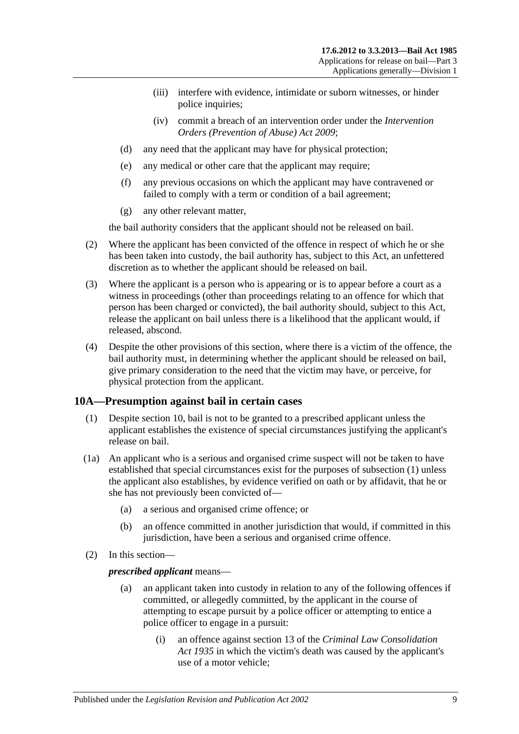- (iii) interfere with evidence, intimidate or suborn witnesses, or hinder police inquiries;
- (iv) commit a breach of an intervention order under the *[Intervention](http://www.legislation.sa.gov.au/index.aspx?action=legref&type=act&legtitle=Intervention%20Orders%20(Prevention%20of%20Abuse)%20Act%202009)  [Orders \(Prevention of Abuse\) Act](http://www.legislation.sa.gov.au/index.aspx?action=legref&type=act&legtitle=Intervention%20Orders%20(Prevention%20of%20Abuse)%20Act%202009) 2009*;
- (d) any need that the applicant may have for physical protection;
- (e) any medical or other care that the applicant may require;
- (f) any previous occasions on which the applicant may have contravened or failed to comply with a term or condition of a bail agreement;
- (g) any other relevant matter,

the bail authority considers that the applicant should not be released on bail.

- (2) Where the applicant has been convicted of the offence in respect of which he or she has been taken into custody, the bail authority has, subject to this Act, an unfettered discretion as to whether the applicant should be released on bail.
- (3) Where the applicant is a person who is appearing or is to appear before a court as a witness in proceedings (other than proceedings relating to an offence for which that person has been charged or convicted), the bail authority should, subject to this Act, release the applicant on bail unless there is a likelihood that the applicant would, if released, abscond.
- (4) Despite the other provisions of this section, where there is a victim of the offence, the bail authority must, in determining whether the applicant should be released on bail, give primary consideration to the need that the victim may have, or perceive, for physical protection from the applicant.

### <span id="page-8-1"></span><span id="page-8-0"></span>**10A—Presumption against bail in certain cases**

- (1) Despite [section](#page-7-1) 10, bail is not to be granted to a prescribed applicant unless the applicant establishes the existence of special circumstances justifying the applicant's release on bail.
- (1a) An applicant who is a serious and organised crime suspect will not be taken to have established that special circumstances exist for the purposes of [subsection](#page-8-1) (1) unless the applicant also establishes, by evidence verified on oath or by affidavit, that he or she has not previously been convicted of—
	- (a) a serious and organised crime offence; or
	- (b) an offence committed in another jurisdiction that would, if committed in this jurisdiction, have been a serious and organised crime offence.
- (2) In this section—

#### *prescribed applicant* means—

- (a) an applicant taken into custody in relation to any of the following offences if committed, or allegedly committed, by the applicant in the course of attempting to escape pursuit by a police officer or attempting to entice a police officer to engage in a pursuit:
	- (i) an offence against section 13 of the *[Criminal Law Consolidation](http://www.legislation.sa.gov.au/index.aspx?action=legref&type=act&legtitle=Criminal%20Law%20Consolidation%20Act%201935)  Act [1935](http://www.legislation.sa.gov.au/index.aspx?action=legref&type=act&legtitle=Criminal%20Law%20Consolidation%20Act%201935)* in which the victim's death was caused by the applicant's use of a motor vehicle;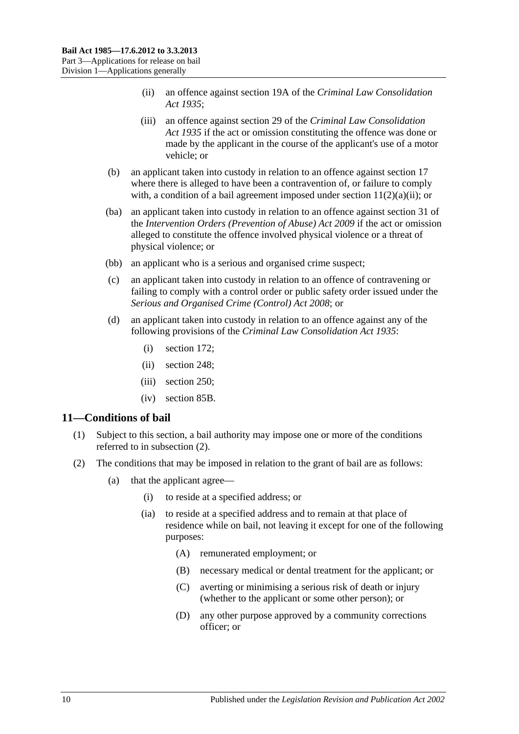- (ii) an offence against section 19A of the *[Criminal Law Consolidation](http://www.legislation.sa.gov.au/index.aspx?action=legref&type=act&legtitle=Criminal%20Law%20Consolidation%20Act%201935)  Act [1935](http://www.legislation.sa.gov.au/index.aspx?action=legref&type=act&legtitle=Criminal%20Law%20Consolidation%20Act%201935)*;
- (iii) an offence against section 29 of the *[Criminal Law Consolidation](http://www.legislation.sa.gov.au/index.aspx?action=legref&type=act&legtitle=Criminal%20Law%20Consolidation%20Act%201935)  Act [1935](http://www.legislation.sa.gov.au/index.aspx?action=legref&type=act&legtitle=Criminal%20Law%20Consolidation%20Act%201935)* if the act or omission constituting the offence was done or made by the applicant in the course of the applicant's use of a motor vehicle; or
- (b) an applicant taken into custody in relation to an offence against [section](#page-16-1) 17 where there is alleged to have been a contravention of, or failure to comply with, a condition of a bail agreement imposed under section  $11(2)(a)(ii)$ ; or
- (ba) an applicant taken into custody in relation to an offence against section 31 of the *[Intervention Orders \(Prevention of Abuse\) Act](http://www.legislation.sa.gov.au/index.aspx?action=legref&type=act&legtitle=Intervention%20Orders%20(Prevention%20of%20Abuse)%20Act%202009) 2009* if the act or omission alleged to constitute the offence involved physical violence or a threat of physical violence; or
- (bb) an applicant who is a serious and organised crime suspect;
- (c) an applicant taken into custody in relation to an offence of contravening or failing to comply with a control order or public safety order issued under the *[Serious and Organised Crime \(Control\) Act](http://www.legislation.sa.gov.au/index.aspx?action=legref&type=act&legtitle=Serious%20and%20Organised%20Crime%20(Control)%20Act%202008) 2008*; or
- (d) an applicant taken into custody in relation to an offence against any of the following provisions of the *[Criminal Law Consolidation Act](http://www.legislation.sa.gov.au/index.aspx?action=legref&type=act&legtitle=Criminal%20Law%20Consolidation%20Act%201935) 1935*:
	- (i) section 172;
	- (ii) section 248;
	- (iii) section 250;
	- (iv) section 85B.

### <span id="page-9-0"></span>**11—Conditions of bail**

- (1) Subject to this section, a bail authority may impose one or more of the conditions referred to in [subsection](#page-9-1) (2).
- <span id="page-9-2"></span><span id="page-9-1"></span>(2) The conditions that may be imposed in relation to the grant of bail are as follows:
	- (a) that the applicant agree—
		- (i) to reside at a specified address; or
		- (ia) to reside at a specified address and to remain at that place of residence while on bail, not leaving it except for one of the following purposes:
			- (A) remunerated employment; or
			- (B) necessary medical or dental treatment for the applicant; or
			- (C) averting or minimising a serious risk of death or injury (whether to the applicant or some other person); or
			- (D) any other purpose approved by a community corrections officer; or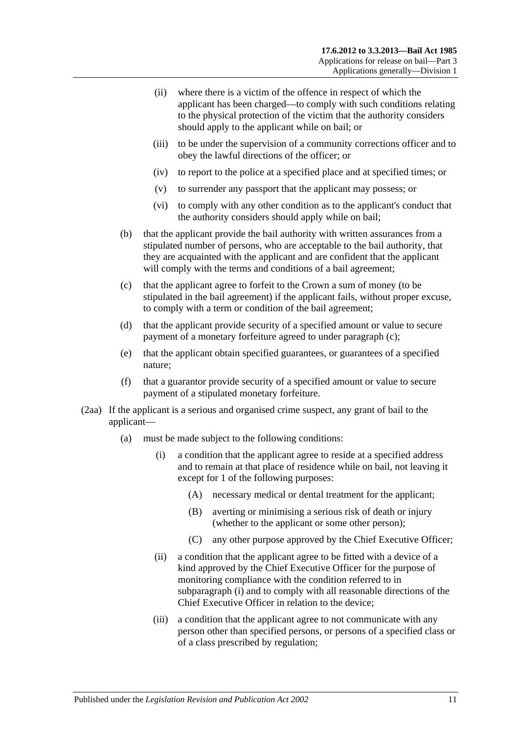- <span id="page-10-0"></span>(ii) where there is a victim of the offence in respect of which the applicant has been charged—to comply with such conditions relating to the physical protection of the victim that the authority considers should apply to the applicant while on bail; or
- <span id="page-10-3"></span>(iii) to be under the supervision of a community corrections officer and to obey the lawful directions of the officer; or
- (iv) to report to the police at a specified place and at specified times; or
- (v) to surrender any passport that the applicant may possess; or
- (vi) to comply with any other condition as to the applicant's conduct that the authority considers should apply while on bail;
- (b) that the applicant provide the bail authority with written assurances from a stipulated number of persons, who are acceptable to the bail authority, that they are acquainted with the applicant and are confident that the applicant will comply with the terms and conditions of a bail agreement;
- <span id="page-10-1"></span>(c) that the applicant agree to forfeit to the Crown a sum of money (to be stipulated in the bail agreement) if the applicant fails, without proper excuse, to comply with a term or condition of the bail agreement;
- (d) that the applicant provide security of a specified amount or value to secure payment of a monetary forfeiture agreed to under [paragraph](#page-10-1) (c);
- (e) that the applicant obtain specified guarantees, or guarantees of a specified nature;
- (f) that a guarantor provide security of a specified amount or value to secure payment of a stipulated monetary forfeiture.
- <span id="page-10-2"></span>(2aa) If the applicant is a serious and organised crime suspect, any grant of bail to the applicant—
	- (a) must be made subject to the following conditions:
		- (i) a condition that the applicant agree to reside at a specified address and to remain at that place of residence while on bail, not leaving it except for 1 of the following purposes:
			- (A) necessary medical or dental treatment for the applicant;
			- (B) averting or minimising a serious risk of death or injury (whether to the applicant or some other person);
			- (C) any other purpose approved by the Chief Executive Officer;
		- (ii) a condition that the applicant agree to be fitted with a device of a kind approved by the Chief Executive Officer for the purpose of monitoring compliance with the condition referred to in [subparagraph](#page-10-2) (i) and to comply with all reasonable directions of the Chief Executive Officer in relation to the device;
		- (iii) a condition that the applicant agree to not communicate with any person other than specified persons, or persons of a specified class or of a class prescribed by regulation;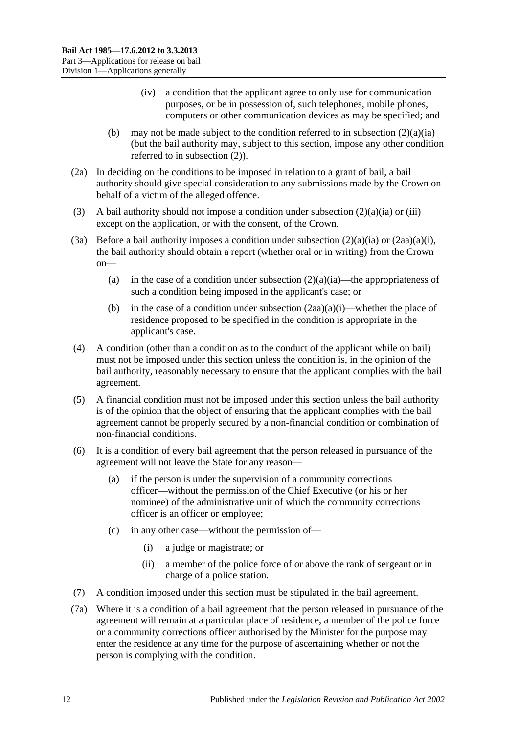- (iv) a condition that the applicant agree to only use for communication purposes, or be in possession of, such telephones, mobile phones, computers or other communication devices as may be specified; and
- (b) may not be made subject to the condition referred to in [subsection](#page-9-2)  $(2)(a)(ia)$ (but the bail authority may, subject to this section, impose any other condition referred to in [subsection](#page-9-1) (2)).
- (2a) In deciding on the conditions to be imposed in relation to a grant of bail, a bail authority should give special consideration to any submissions made by the Crown on behalf of a victim of the alleged offence.
- (3) A bail authority should not impose a condition under [subsection](#page-9-2)  $(2)(a)(ia)$  or [\(iii\)](#page-10-3) except on the application, or with the consent, of the Crown.
- (3a) Before a bail authority imposes a condition under [subsection](#page-9-2)  $(2)(a)(ia)$  or  $(2aa)(a)(i)$ , the bail authority should obtain a report (whether oral or in writing) from the Crown on
	- (a) in the case of a condition under [subsection](#page-9-2)  $(2)(a)(ia)$ —the appropriateness of such a condition being imposed in the applicant's case; or
	- (b) in the case of a condition under [subsection](#page-10-2)  $(2aa)(a)(i)$ —whether the place of residence proposed to be specified in the condition is appropriate in the applicant's case.
- (4) A condition (other than a condition as to the conduct of the applicant while on bail) must not be imposed under this section unless the condition is, in the opinion of the bail authority, reasonably necessary to ensure that the applicant complies with the bail agreement.
- (5) A financial condition must not be imposed under this section unless the bail authority is of the opinion that the object of ensuring that the applicant complies with the bail agreement cannot be properly secured by a non-financial condition or combination of non-financial conditions.
- (6) It is a condition of every bail agreement that the person released in pursuance of the agreement will not leave the State for any reason—
	- (a) if the person is under the supervision of a community corrections officer—without the permission of the Chief Executive (or his or her nominee) of the administrative unit of which the community corrections officer is an officer or employee;
	- (c) in any other case—without the permission of—
		- (i) a judge or magistrate; or
		- (ii) a member of the police force of or above the rank of sergeant or in charge of a police station.
- (7) A condition imposed under this section must be stipulated in the bail agreement.
- <span id="page-11-0"></span>(7a) Where it is a condition of a bail agreement that the person released in pursuance of the agreement will remain at a particular place of residence, a member of the police force or a community corrections officer authorised by the Minister for the purpose may enter the residence at any time for the purpose of ascertaining whether or not the person is complying with the condition.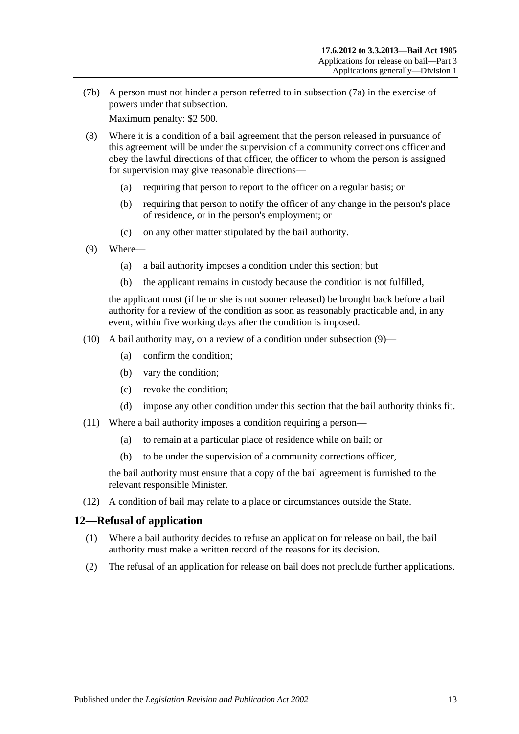(7b) A person must not hinder a person referred to in [subsection](#page-11-0) (7a) in the exercise of powers under that subsection.

Maximum penalty: \$2 500.

- (8) Where it is a condition of a bail agreement that the person released in pursuance of this agreement will be under the supervision of a community corrections officer and obey the lawful directions of that officer, the officer to whom the person is assigned for supervision may give reasonable directions—
	- (a) requiring that person to report to the officer on a regular basis; or
	- (b) requiring that person to notify the officer of any change in the person's place of residence, or in the person's employment; or
	- (c) on any other matter stipulated by the bail authority.
- <span id="page-12-1"></span>(9) Where—
	- (a) a bail authority imposes a condition under this section; but
	- (b) the applicant remains in custody because the condition is not fulfilled,

the applicant must (if he or she is not sooner released) be brought back before a bail authority for a review of the condition as soon as reasonably practicable and, in any event, within five working days after the condition is imposed.

- (10) A bail authority may, on a review of a condition under [subsection](#page-12-1)  $(9)$ 
	- (a) confirm the condition;
	- (b) vary the condition;
	- (c) revoke the condition;
	- (d) impose any other condition under this section that the bail authority thinks fit.
- (11) Where a bail authority imposes a condition requiring a person—
	- (a) to remain at a particular place of residence while on bail; or
	- (b) to be under the supervision of a community corrections officer,

the bail authority must ensure that a copy of the bail agreement is furnished to the relevant responsible Minister.

(12) A condition of bail may relate to a place or circumstances outside the State.

## <span id="page-12-0"></span>**12—Refusal of application**

- (1) Where a bail authority decides to refuse an application for release on bail, the bail authority must make a written record of the reasons for its decision.
- (2) The refusal of an application for release on bail does not preclude further applications.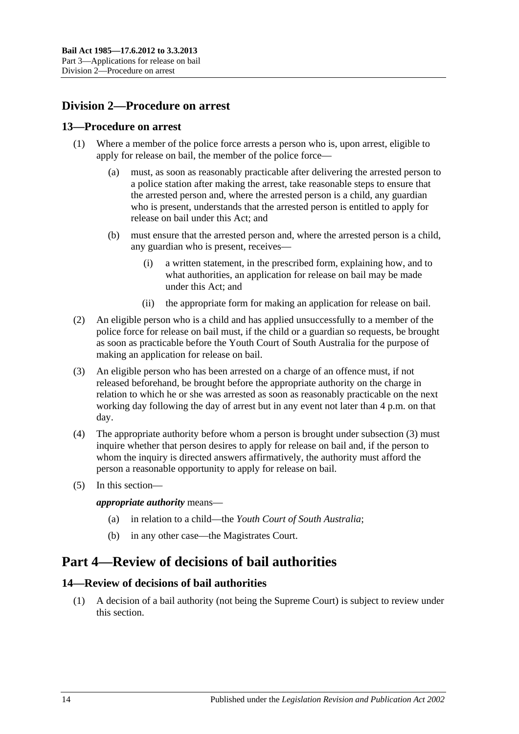## <span id="page-13-0"></span>**Division 2—Procedure on arrest**

### <span id="page-13-1"></span>**13—Procedure on arrest**

- (1) Where a member of the police force arrests a person who is, upon arrest, eligible to apply for release on bail, the member of the police force—
	- (a) must, as soon as reasonably practicable after delivering the arrested person to a police station after making the arrest, take reasonable steps to ensure that the arrested person and, where the arrested person is a child, any guardian who is present, understands that the arrested person is entitled to apply for release on bail under this Act; and
	- (b) must ensure that the arrested person and, where the arrested person is a child, any guardian who is present, receives—
		- (i) a written statement, in the prescribed form, explaining how, and to what authorities, an application for release on bail may be made under this Act; and
		- (ii) the appropriate form for making an application for release on bail.
- (2) An eligible person who is a child and has applied unsuccessfully to a member of the police force for release on bail must, if the child or a guardian so requests, be brought as soon as practicable before the Youth Court of South Australia for the purpose of making an application for release on bail.
- <span id="page-13-4"></span>(3) An eligible person who has been arrested on a charge of an offence must, if not released beforehand, be brought before the appropriate authority on the charge in relation to which he or she was arrested as soon as reasonably practicable on the next working day following the day of arrest but in any event not later than 4 p.m. on that day.
- (4) The appropriate authority before whom a person is brought under [subsection](#page-13-4) (3) must inquire whether that person desires to apply for release on bail and, if the person to whom the inquiry is directed answers affirmatively, the authority must afford the person a reasonable opportunity to apply for release on bail.
- (5) In this section—

*appropriate authority* means—

- (a) in relation to a child—the *Youth Court of South Australia*;
- (b) in any other case—the Magistrates Court.

## <span id="page-13-2"></span>**Part 4—Review of decisions of bail authorities**

## <span id="page-13-3"></span>**14—Review of decisions of bail authorities**

(1) A decision of a bail authority (not being the Supreme Court) is subject to review under this section.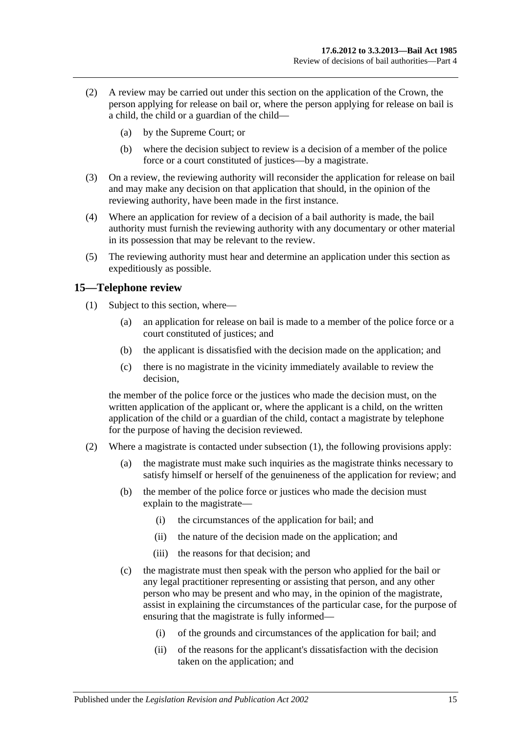- (2) A review may be carried out under this section on the application of the Crown, the person applying for release on bail or, where the person applying for release on bail is a child, the child or a guardian of the child—
	- (a) by the Supreme Court; or
	- (b) where the decision subject to review is a decision of a member of the police force or a court constituted of justices—by a magistrate.
- (3) On a review, the reviewing authority will reconsider the application for release on bail and may make any decision on that application that should, in the opinion of the reviewing authority, have been made in the first instance.
- (4) Where an application for review of a decision of a bail authority is made, the bail authority must furnish the reviewing authority with any documentary or other material in its possession that may be relevant to the review.
- (5) The reviewing authority must hear and determine an application under this section as expeditiously as possible.

## <span id="page-14-1"></span><span id="page-14-0"></span>**15—Telephone review**

- (1) Subject to this section, where—
	- (a) an application for release on bail is made to a member of the police force or a court constituted of justices; and
	- (b) the applicant is dissatisfied with the decision made on the application; and
	- (c) there is no magistrate in the vicinity immediately available to review the decision,

the member of the police force or the justices who made the decision must, on the written application of the applicant or, where the applicant is a child, on the written application of the child or a guardian of the child, contact a magistrate by telephone for the purpose of having the decision reviewed.

- (2) Where a magistrate is contacted under [subsection](#page-14-1) (1), the following provisions apply:
	- (a) the magistrate must make such inquiries as the magistrate thinks necessary to satisfy himself or herself of the genuineness of the application for review; and
	- (b) the member of the police force or justices who made the decision must explain to the magistrate—
		- (i) the circumstances of the application for bail; and
		- (ii) the nature of the decision made on the application; and
		- (iii) the reasons for that decision; and
	- (c) the magistrate must then speak with the person who applied for the bail or any legal practitioner representing or assisting that person, and any other person who may be present and who may, in the opinion of the magistrate, assist in explaining the circumstances of the particular case, for the purpose of ensuring that the magistrate is fully informed—
		- (i) of the grounds and circumstances of the application for bail; and
		- (ii) of the reasons for the applicant's dissatisfaction with the decision taken on the application; and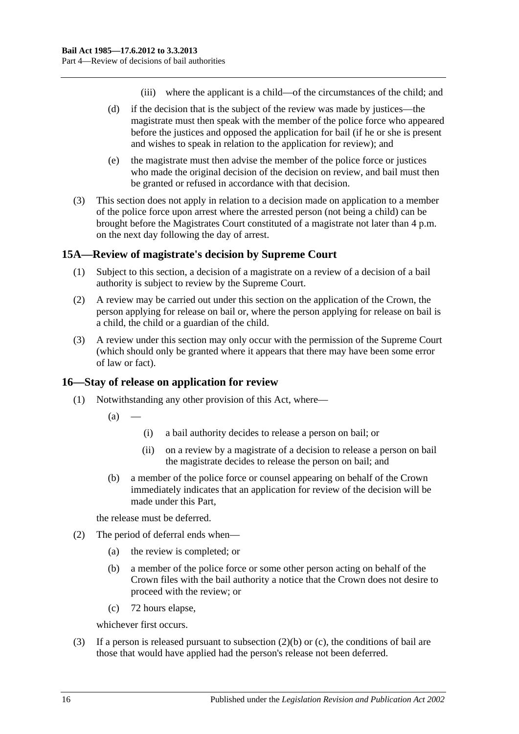- (iii) where the applicant is a child—of the circumstances of the child; and
- (d) if the decision that is the subject of the review was made by justices—the magistrate must then speak with the member of the police force who appeared before the justices and opposed the application for bail (if he or she is present and wishes to speak in relation to the application for review); and
- (e) the magistrate must then advise the member of the police force or justices who made the original decision of the decision on review, and bail must then be granted or refused in accordance with that decision.
- (3) This section does not apply in relation to a decision made on application to a member of the police force upon arrest where the arrested person (not being a child) can be brought before the Magistrates Court constituted of a magistrate not later than 4 p.m. on the next day following the day of arrest.

## <span id="page-15-0"></span>**15A—Review of magistrate's decision by Supreme Court**

- (1) Subject to this section, a decision of a magistrate on a review of a decision of a bail authority is subject to review by the Supreme Court.
- (2) A review may be carried out under this section on the application of the Crown, the person applying for release on bail or, where the person applying for release on bail is a child, the child or a guardian of the child.
- (3) A review under this section may only occur with the permission of the Supreme Court (which should only be granted where it appears that there may have been some error of law or fact).

### <span id="page-15-1"></span>**16—Stay of release on application for review**

- (1) Notwithstanding any other provision of this Act, where—
	- $(a)$
- (i) a bail authority decides to release a person on bail; or
- (ii) on a review by a magistrate of a decision to release a person on bail the magistrate decides to release the person on bail; and
- (b) a member of the police force or counsel appearing on behalf of the Crown immediately indicates that an application for review of the decision will be made under this Part,

the release must be deferred.

- <span id="page-15-2"></span>(2) The period of deferral ends when—
	- (a) the review is completed; or
	- (b) a member of the police force or some other person acting on behalf of the Crown files with the bail authority a notice that the Crown does not desire to proceed with the review; or
	- (c) 72 hours elapse,

whichever first occurs.

<span id="page-15-3"></span>(3) If a person is released pursuant to [subsection](#page-15-2) (2)(b) or [\(c\),](#page-15-3) the conditions of bail are those that would have applied had the person's release not been deferred.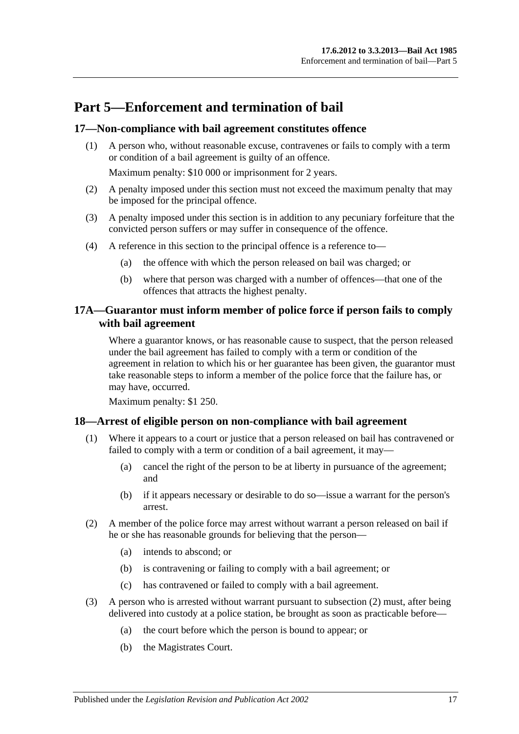## <span id="page-16-0"></span>**Part 5—Enforcement and termination of bail**

## <span id="page-16-1"></span>**17—Non-compliance with bail agreement constitutes offence**

(1) A person who, without reasonable excuse, contravenes or fails to comply with a term or condition of a bail agreement is guilty of an offence.

Maximum penalty: \$10 000 or imprisonment for 2 years.

- (2) A penalty imposed under this section must not exceed the maximum penalty that may be imposed for the principal offence.
- (3) A penalty imposed under this section is in addition to any pecuniary forfeiture that the convicted person suffers or may suffer in consequence of the offence.
- (4) A reference in this section to the principal offence is a reference to—
	- (a) the offence with which the person released on bail was charged; or
	- (b) where that person was charged with a number of offences—that one of the offences that attracts the highest penalty.

## <span id="page-16-2"></span>**17A—Guarantor must inform member of police force if person fails to comply with bail agreement**

Where a guarantor knows, or has reasonable cause to suspect, that the person released under the bail agreement has failed to comply with a term or condition of the agreement in relation to which his or her guarantee has been given, the guarantor must take reasonable steps to inform a member of the police force that the failure has, or may have, occurred.

Maximum penalty: \$1 250.

### <span id="page-16-3"></span>**18—Arrest of eligible person on non-compliance with bail agreement**

- (1) Where it appears to a court or justice that a person released on bail has contravened or failed to comply with a term or condition of a bail agreement, it may—
	- (a) cancel the right of the person to be at liberty in pursuance of the agreement; and
	- (b) if it appears necessary or desirable to do so—issue a warrant for the person's arrest.
- <span id="page-16-4"></span>(2) A member of the police force may arrest without warrant a person released on bail if he or she has reasonable grounds for believing that the person—
	- (a) intends to abscond; or
	- (b) is contravening or failing to comply with a bail agreement; or
	- (c) has contravened or failed to comply with a bail agreement.
- (3) A person who is arrested without warrant pursuant to [subsection](#page-16-4) (2) must, after being delivered into custody at a police station, be brought as soon as practicable before—
	- (a) the court before which the person is bound to appear; or
	- (b) the Magistrates Court.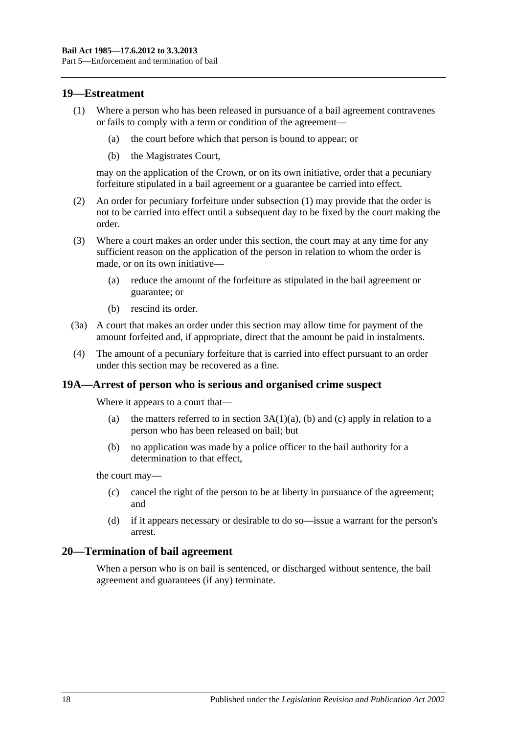### <span id="page-17-3"></span><span id="page-17-0"></span>**19—Estreatment**

- (1) Where a person who has been released in pursuance of a bail agreement contravenes or fails to comply with a term or condition of the agreement—
	- (a) the court before which that person is bound to appear; or
	- (b) the Magistrates Court,

may on the application of the Crown, or on its own initiative, order that a pecuniary forfeiture stipulated in a bail agreement or a guarantee be carried into effect.

- (2) An order for pecuniary forfeiture under [subsection](#page-17-3) (1) may provide that the order is not to be carried into effect until a subsequent day to be fixed by the court making the order.
- (3) Where a court makes an order under this section, the court may at any time for any sufficient reason on the application of the person in relation to whom the order is made, or on its own initiative—
	- (a) reduce the amount of the forfeiture as stipulated in the bail agreement or guarantee; or
	- (b) rescind its order.
- (3a) A court that makes an order under this section may allow time for payment of the amount forfeited and, if appropriate, direct that the amount be paid in instalments.
- (4) The amount of a pecuniary forfeiture that is carried into effect pursuant to an order under this section may be recovered as a fine.

### <span id="page-17-1"></span>**19A—Arrest of person who is serious and organised crime suspect**

Where it appears to a court that—

- (a) the matters referred to in section  $3A(1)(a)$ , [\(b\)](#page-2-2) and [\(c\)](#page-2-3) apply in relation to a person who has been released on bail; but
- (b) no application was made by a police officer to the bail authority for a determination to that effect,

the court may—

- (c) cancel the right of the person to be at liberty in pursuance of the agreement; and
- (d) if it appears necessary or desirable to do so—issue a warrant for the person's arrest.

### <span id="page-17-2"></span>**20—Termination of bail agreement**

When a person who is on bail is sentenced, or discharged without sentence, the bail agreement and guarantees (if any) terminate.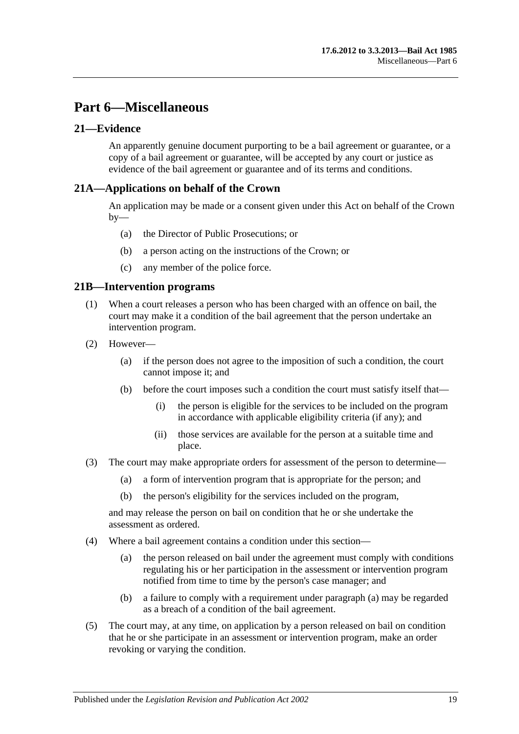## <span id="page-18-0"></span>**Part 6—Miscellaneous**

## <span id="page-18-1"></span>**21—Evidence**

An apparently genuine document purporting to be a bail agreement or guarantee, or a copy of a bail agreement or guarantee, will be accepted by any court or justice as evidence of the bail agreement or guarantee and of its terms and conditions.

## <span id="page-18-2"></span>**21A—Applications on behalf of the Crown**

An application may be made or a consent given under this Act on behalf of the Crown  $bv$ —

- (a) the Director of Public Prosecutions; or
- (b) a person acting on the instructions of the Crown; or
- (c) any member of the police force.

### <span id="page-18-3"></span>**21B—Intervention programs**

- (1) When a court releases a person who has been charged with an offence on bail, the court may make it a condition of the bail agreement that the person undertake an intervention program.
- (2) However—
	- (a) if the person does not agree to the imposition of such a condition, the court cannot impose it; and
	- (b) before the court imposes such a condition the court must satisfy itself that—
		- (i) the person is eligible for the services to be included on the program in accordance with applicable eligibility criteria (if any); and
		- (ii) those services are available for the person at a suitable time and place.
- (3) The court may make appropriate orders for assessment of the person to determine—
	- (a) a form of intervention program that is appropriate for the person; and
	- (b) the person's eligibility for the services included on the program,

and may release the person on bail on condition that he or she undertake the assessment as ordered.

- <span id="page-18-4"></span>(4) Where a bail agreement contains a condition under this section—
	- (a) the person released on bail under the agreement must comply with conditions regulating his or her participation in the assessment or intervention program notified from time to time by the person's case manager; and
	- (b) a failure to comply with a requirement under [paragraph](#page-18-4) (a) may be regarded as a breach of a condition of the bail agreement.
- (5) The court may, at any time, on application by a person released on bail on condition that he or she participate in an assessment or intervention program, make an order revoking or varying the condition.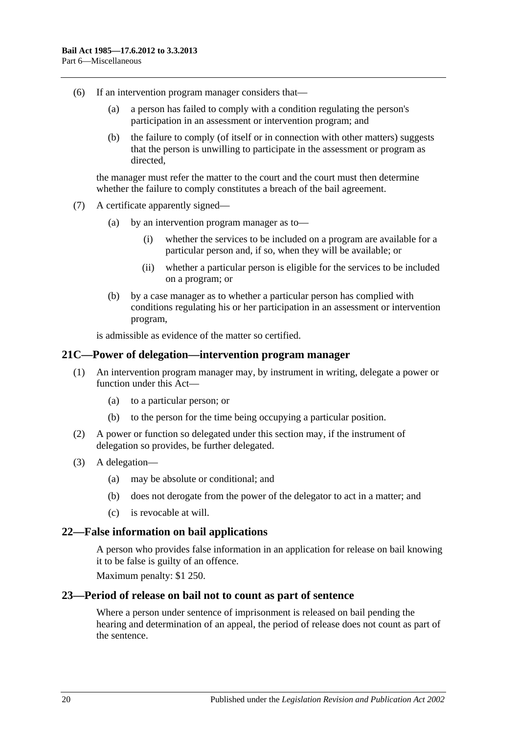- (6) If an intervention program manager considers that—
	- (a) a person has failed to comply with a condition regulating the person's participation in an assessment or intervention program; and
	- (b) the failure to comply (of itself or in connection with other matters) suggests that the person is unwilling to participate in the assessment or program as directed,

the manager must refer the matter to the court and the court must then determine whether the failure to comply constitutes a breach of the bail agreement.

- (7) A certificate apparently signed—
	- (a) by an intervention program manager as to—
		- (i) whether the services to be included on a program are available for a particular person and, if so, when they will be available; or
		- (ii) whether a particular person is eligible for the services to be included on a program; or
	- (b) by a case manager as to whether a particular person has complied with conditions regulating his or her participation in an assessment or intervention program,

is admissible as evidence of the matter so certified.

### <span id="page-19-0"></span>**21C—Power of delegation—intervention program manager**

- (1) An intervention program manager may, by instrument in writing, delegate a power or function under this Act—
	- (a) to a particular person; or
	- (b) to the person for the time being occupying a particular position.
- (2) A power or function so delegated under this section may, if the instrument of delegation so provides, be further delegated.
- (3) A delegation—
	- (a) may be absolute or conditional; and
	- (b) does not derogate from the power of the delegator to act in a matter; and
	- (c) is revocable at will.

### <span id="page-19-1"></span>**22—False information on bail applications**

A person who provides false information in an application for release on bail knowing it to be false is guilty of an offence.

Maximum penalty: \$1 250.

### <span id="page-19-2"></span>**23—Period of release on bail not to count as part of sentence**

Where a person under sentence of imprisonment is released on bail pending the hearing and determination of an appeal, the period of release does not count as part of the sentence.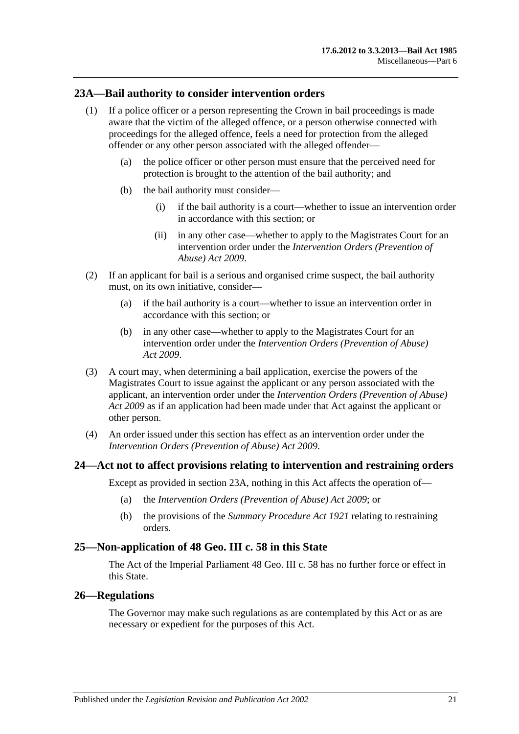### <span id="page-20-0"></span>**23A—Bail authority to consider intervention orders**

- (1) If a police officer or a person representing the Crown in bail proceedings is made aware that the victim of the alleged offence, or a person otherwise connected with proceedings for the alleged offence, feels a need for protection from the alleged offender or any other person associated with the alleged offender—
	- (a) the police officer or other person must ensure that the perceived need for protection is brought to the attention of the bail authority; and
	- (b) the bail authority must consider—
		- (i) if the bail authority is a court—whether to issue an intervention order in accordance with this section; or
		- (ii) in any other case—whether to apply to the Magistrates Court for an intervention order under the *[Intervention Orders \(Prevention of](http://www.legislation.sa.gov.au/index.aspx?action=legref&type=act&legtitle=Intervention%20Orders%20(Prevention%20of%20Abuse)%20Act%202009)  [Abuse\) Act](http://www.legislation.sa.gov.au/index.aspx?action=legref&type=act&legtitle=Intervention%20Orders%20(Prevention%20of%20Abuse)%20Act%202009) 2009*.
- (2) If an applicant for bail is a serious and organised crime suspect, the bail authority must, on its own initiative, consider—
	- (a) if the bail authority is a court—whether to issue an intervention order in accordance with this section; or
	- (b) in any other case—whether to apply to the Magistrates Court for an intervention order under the *[Intervention Orders \(Prevention of Abuse\)](http://www.legislation.sa.gov.au/index.aspx?action=legref&type=act&legtitle=Intervention%20Orders%20(Prevention%20of%20Abuse)%20Act%202009)  Act [2009](http://www.legislation.sa.gov.au/index.aspx?action=legref&type=act&legtitle=Intervention%20Orders%20(Prevention%20of%20Abuse)%20Act%202009)*.
- (3) A court may, when determining a bail application, exercise the powers of the Magistrates Court to issue against the applicant or any person associated with the applicant, an intervention order under the *[Intervention Orders \(Prevention of Abuse\)](http://www.legislation.sa.gov.au/index.aspx?action=legref&type=act&legtitle=Intervention%20Orders%20(Prevention%20of%20Abuse)%20Act%202009)  Act [2009](http://www.legislation.sa.gov.au/index.aspx?action=legref&type=act&legtitle=Intervention%20Orders%20(Prevention%20of%20Abuse)%20Act%202009)* as if an application had been made under that Act against the applicant or other person.
- (4) An order issued under this section has effect as an intervention order under the *[Intervention Orders \(Prevention of Abuse\) Act](http://www.legislation.sa.gov.au/index.aspx?action=legref&type=act&legtitle=Intervention%20Orders%20(Prevention%20of%20Abuse)%20Act%202009) 2009*.

### <span id="page-20-1"></span>**24—Act not to affect provisions relating to intervention and restraining orders**

Except as provided in [section](#page-20-0) 23A, nothing in this Act affects the operation of—

- (a) the *[Intervention Orders \(Prevention of Abuse\) Act](http://www.legislation.sa.gov.au/index.aspx?action=legref&type=act&legtitle=Intervention%20Orders%20(Prevention%20of%20Abuse)%20Act%202009) 2009*; or
- (b) the provisions of the *[Summary Procedure Act](http://www.legislation.sa.gov.au/index.aspx?action=legref&type=act&legtitle=Summary%20Procedure%20Act%201921) 1921* relating to restraining orders.

### <span id="page-20-2"></span>**25—Non-application of 48 Geo. III c. 58 in this State**

The Act of the Imperial Parliament 48 Geo. III c. 58 has no further force or effect in this State.

### <span id="page-20-3"></span>**26—Regulations**

The Governor may make such regulations as are contemplated by this Act or as are necessary or expedient for the purposes of this Act.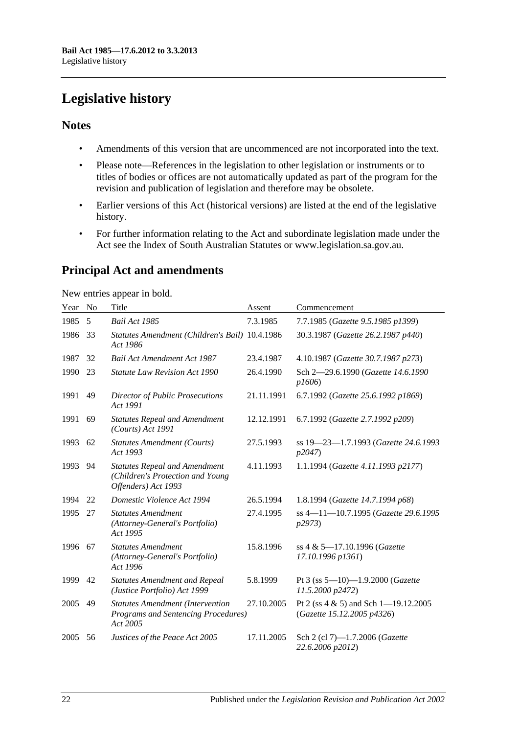## <span id="page-21-0"></span>**Legislative history**

## **Notes**

- Amendments of this version that are uncommenced are not incorporated into the text.
- Please note—References in the legislation to other legislation or instruments or to titles of bodies or offices are not automatically updated as part of the program for the revision and publication of legislation and therefore may be obsolete.
- Earlier versions of this Act (historical versions) are listed at the end of the legislative history.
- For further information relating to the Act and subordinate legislation made under the Act see the Index of South Australian Statutes or www.legislation.sa.gov.au.

## **Principal Act and amendments**

New entries appear in bold.

| Year | N <sub>0</sub> | Title                                                                                           | Assent     | Commencement                                                       |
|------|----------------|-------------------------------------------------------------------------------------------------|------------|--------------------------------------------------------------------|
| 1985 | 5              | <b>Bail Act 1985</b>                                                                            | 7.3.1985   | 7.7.1985 (Gazette 9.5.1985 p1399)                                  |
| 1986 | 33             | Statutes Amendment (Children's Bail) 10.4.1986<br>Act 1986                                      |            | 30.3.1987 (Gazette 26.2.1987 p440)                                 |
| 1987 | 32             | <b>Bail Act Amendment Act 1987</b>                                                              | 23.4.1987  | 4.10.1987 (Gazette 30.7.1987 p273)                                 |
| 1990 | 23             | <b>Statute Law Revision Act 1990</b>                                                            | 26.4.1990  | Sch 2-29.6.1990 (Gazette 14.6.1990<br>p1606                        |
| 1991 | 49             | <b>Director of Public Prosecutions</b><br>Act 1991                                              | 21.11.1991 | 6.7.1992 (Gazette 25.6.1992 p1869)                                 |
| 1991 | 69             | <b>Statutes Repeal and Amendment</b><br>(Courts) Act 1991                                       | 12.12.1991 | 6.7.1992 (Gazette 2.7.1992 p209)                                   |
| 1993 | 62             | <b>Statutes Amendment (Courts)</b><br>Act 1993                                                  | 27.5.1993  | ss 19-23-1.7.1993 (Gazette 24.6.1993<br>p2047)                     |
| 1993 | 94             | <b>Statutes Repeal and Amendment</b><br>(Children's Protection and Young<br>Offenders) Act 1993 | 4.11.1993  | 1.1.1994 (Gazette 4.11.1993 p2177)                                 |
| 1994 | 22             | Domestic Violence Act 1994                                                                      | 26.5.1994  | 1.8.1994 (Gazette 14.7.1994 p68)                                   |
| 1995 | 27             | <b>Statutes Amendment</b><br>(Attorney-General's Portfolio)<br>Act 1995                         | 27.4.1995  | ss 4-11-10.7.1995 (Gazette 29.6.1995)<br>p2973)                    |
| 1996 | 67             | <b>Statutes Amendment</b><br>(Attorney-General's Portfolio)<br>Act 1996                         | 15.8.1996  | ss 4 & 5-17.10.1996 (Gazette<br>17.10.1996 p1361)                  |
| 1999 | 42             | <b>Statutes Amendment and Repeal</b><br>(Justice Portfolio) Act 1999                            | 5.8.1999   | Pt 3 (ss $5-10$ )-1.9.2000 (Gazette<br>11.5.2000 p2472)            |
| 2005 | 49             | <b>Statutes Amendment (Intervention</b><br>Programs and Sentencing Procedures)<br>Act 2005      | 27.10.2005 | Pt 2 (ss 4 & 5) and Sch 1-19.12.2005<br>(Gazette 15.12.2005 p4326) |
| 2005 | 56             | Justices of the Peace Act 2005                                                                  | 17.11.2005 | Sch 2 (cl 7)-1.7.2006 (Gazette<br>22.6.2006 p2012)                 |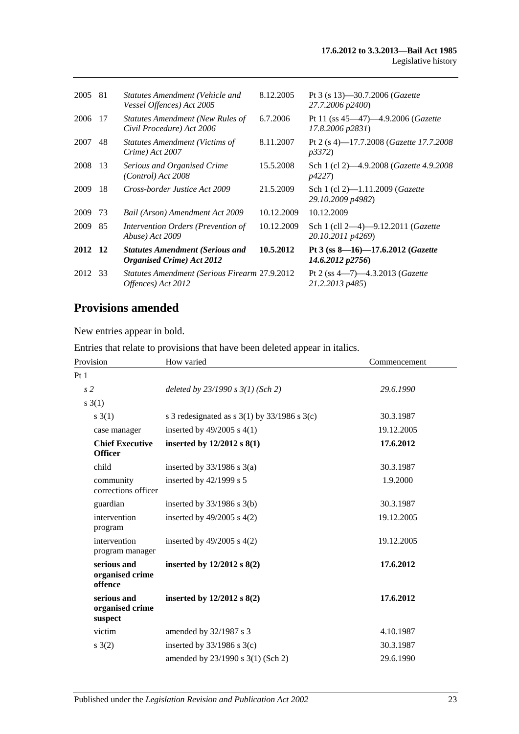| 81 | Statutes Amendment (Vehicle and<br>Vessel Offences) Act 2005                     | 8.12.2005  | Pt 3 (s 13)–30.7.2006 ( <i>Gazette</i><br>27.7.2006 p2400)           |
|----|----------------------------------------------------------------------------------|------------|----------------------------------------------------------------------|
| 17 | <b>Statutes Amendment (New Rules of</b><br>Civil Procedure) Act 2006             | 6.7.2006   | Pt 11 (ss $45-47$ ) $-4.9.2006$ ( <i>Gazette</i><br>17.8.2006 p2831) |
| 48 | <b>Statutes Amendment (Victims of</b><br>Crime) Act 2007                         | 8.11.2007  | Pt 2 (s 4)-17.7.2008 ( <i>Gazette 17.7.2008</i><br><i>p3372</i> )    |
|    | Serious and Organised Crime<br>(Control) Act 2008                                | 15.5.2008  | Sch 1 (cl 2)—4.9.2008 (Gazette 4.9.2008<br><i>p4227</i> )            |
| 18 | Cross-border Justice Act 2009                                                    | 21.5.2009  | Sch 1 (cl 2)-1.11.2009 (Gazette<br>29.10.2009 p4982)                 |
| 73 | Bail (Arson) Amendment Act 2009                                                  | 10.12.2009 | 10.12.2009                                                           |
| 85 | Intervention Orders (Prevention of<br>Abuse) Act 2009                            | 10.12.2009 | Sch 1 (cll 2-4)-9.12.2011 ( <i>Gazette</i><br>20.10.2011 p4269)      |
|    | <b>Statutes Amendment (Serious and</b><br><i><b>Organised Crime</b></i> Act 2012 | 10.5.2012  | Pt 3 (ss $8-16$ )-17.6.2012 (Gazette<br>14.6.2012 p2756              |
|    | Offences) Act 2012                                                               |            | Pt 2 (ss $4-7$ ) $-4.3.2013$ ( <i>Gazette</i><br>21.2.2013 p485)     |
|    | -13<br>2012 12<br>-33                                                            |            | <b>Statutes Amendment (Serious Firearm 27.9.2012</b>                 |

## **Provisions amended**

New entries appear in bold.

Entries that relate to provisions that have been deleted appear in italics.

| Provision                                 | How varied                                         | Commencement |
|-------------------------------------------|----------------------------------------------------|--------------|
| Pt <sub>1</sub>                           |                                                    |              |
| s <sub>2</sub>                            | deleted by $23/1990 s 3(1)$ (Sch 2)                | 29.6.1990    |
| s(1)                                      |                                                    |              |
| s(3(1))                                   | s 3 redesignated as s $3(1)$ by $33/1986$ s $3(c)$ | 30.3.1987    |
| case manager                              | inserted by $49/2005$ s $4(1)$                     | 19.12.2005   |
| <b>Chief Executive</b><br><b>Officer</b>  | inserted by $12/2012$ s $8(1)$                     | 17.6.2012    |
| child                                     | inserted by $33/1986$ s $3(a)$                     | 30.3.1987    |
| community<br>corrections officer          | inserted by $42/1999$ s 5                          | 1.9.2000     |
| guardian                                  | inserted by $33/1986$ s 3(b)                       | 30.3.1987    |
| intervention<br>program                   | inserted by $49/2005$ s $4(2)$                     | 19.12.2005   |
| intervention<br>program manager           | inserted by $49/2005$ s $4(2)$                     | 19.12.2005   |
| serious and<br>organised crime<br>offence | inserted by $12/2012$ s $8(2)$                     | 17.6.2012    |
| serious and<br>organised crime<br>suspect | inserted by 12/2012 s 8(2)                         | 17.6.2012    |
| victim                                    | amended by 32/1987 s 3                             | 4.10.1987    |
| s(2)                                      | inserted by $33/1986$ s $3(c)$                     | 30.3.1987    |
|                                           | amended by 23/1990 s 3(1) (Sch 2)                  | 29.6.1990    |
|                                           |                                                    |              |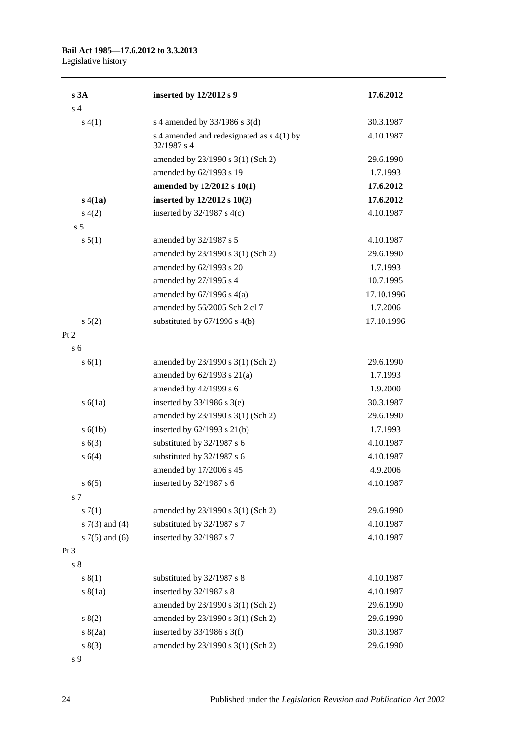#### **Bail Act 1985—17.6.2012 to 3.3.2013** Legislative history

| s3A                | inserted by 12/2012 s 9                                  | 17.6.2012  |
|--------------------|----------------------------------------------------------|------------|
| s <sub>4</sub>     |                                                          |            |
| s(4(1))            | s 4 amended by $33/1986$ s 3(d)                          | 30.3.1987  |
|                    | s 4 amended and redesignated as s 4(1) by<br>32/1987 s 4 | 4.10.1987  |
|                    | amended by 23/1990 s 3(1) (Sch 2)                        | 29.6.1990  |
|                    | amended by 62/1993 s 19                                  | 1.7.1993   |
|                    | amended by 12/2012 s 10(1)                               | 17.6.2012  |
| s(4(a))            | inserted by 12/2012 s 10(2)                              | 17.6.2012  |
| s(4(2)             | inserted by $32/1987$ s 4(c)                             | 4.10.1987  |
| s <sub>5</sub>     |                                                          |            |
| s 5(1)             | amended by 32/1987 s 5                                   | 4.10.1987  |
|                    | amended by 23/1990 s 3(1) (Sch 2)                        | 29.6.1990  |
|                    | amended by 62/1993 s 20                                  | 1.7.1993   |
|                    | amended by 27/1995 s 4                                   | 10.7.1995  |
|                    | amended by $67/1996$ s $4(a)$                            | 17.10.1996 |
|                    | amended by 56/2005 Sch 2 cl 7                            | 1.7.2006   |
| $s\ 5(2)$          | substituted by $67/1996$ s $4(b)$                        | 17.10.1996 |
| Pt 2               |                                                          |            |
| s <sub>6</sub>     |                                                          |            |
| s(6(1))            | amended by 23/1990 s 3(1) (Sch 2)                        | 29.6.1990  |
|                    | amended by $62/1993$ s $21(a)$                           | 1.7.1993   |
|                    | amended by 42/1999 s 6                                   | 1.9.2000   |
| s(6(1a))           | inserted by $33/1986$ s 3(e)                             | 30.3.1987  |
|                    | amended by 23/1990 s 3(1) (Sch 2)                        | 29.6.1990  |
| s(6(1b))           | inserted by $62/1993$ s $21(b)$                          | 1.7.1993   |
| s(6(3))            | substituted by 32/1987 s 6                               | 4.10.1987  |
| s 6(4)             | substituted by 32/1987 s 6                               | 4.10.1987  |
|                    | amended by 17/2006 s 45                                  | 4.9.2006   |
| s(6(5)             | inserted by 32/1987 s 6                                  | 4.10.1987  |
| s 7                |                                                          |            |
| s(7(1)             | amended by 23/1990 s 3(1) (Sch 2)                        | 29.6.1990  |
| s $7(3)$ and $(4)$ | substituted by 32/1987 s 7                               | 4.10.1987  |
| s $7(5)$ and $(6)$ | inserted by 32/1987 s 7                                  | 4.10.1987  |
| Pt 3               |                                                          |            |
| s <sub>8</sub>     |                                                          |            |
| s(1)               | substituted by 32/1987 s 8                               | 4.10.1987  |
| s(8(1a))           | inserted by 32/1987 s 8                                  | 4.10.1987  |
|                    | amended by 23/1990 s 3(1) (Sch 2)                        | 29.6.1990  |
| 8(2)               | amended by 23/1990 s 3(1) (Sch 2)                        | 29.6.1990  |
| s(2a)              | inserted by $33/1986$ s 3(f)                             | 30.3.1987  |
| s(3)               | amended by 23/1990 s 3(1) (Sch 2)                        | 29.6.1990  |
| s 9                |                                                          |            |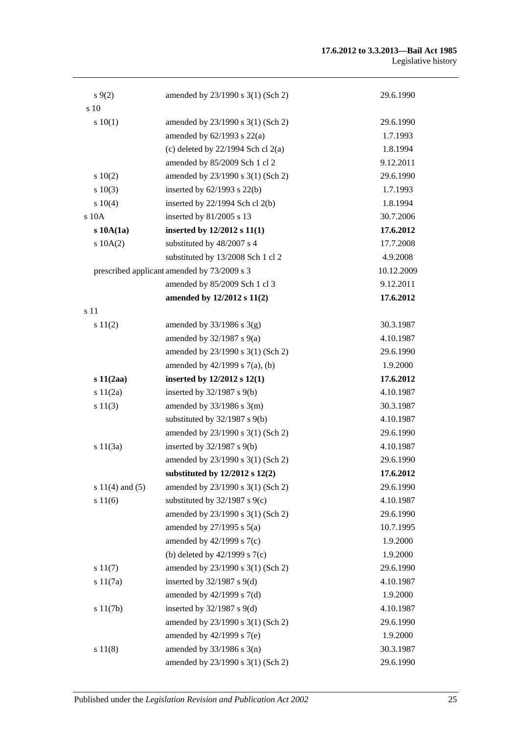#### **17.6.2012 to 3.3.2013—Bail Act 1985** Legislative history

| $s \, 9(2)$         | amended by 23/1990 s 3(1) (Sch 2)           | 29.6.1990  |
|---------------------|---------------------------------------------|------------|
| s 10                |                                             |            |
| 10(1)               | amended by 23/1990 s 3(1) (Sch 2)           | 29.6.1990  |
|                     | amended by $62/1993$ s $22(a)$              | 1.7.1993   |
|                     | (c) deleted by $22/1994$ Sch cl $2(a)$      | 1.8.1994   |
|                     | amended by 85/2009 Sch 1 cl 2               | 9.12.2011  |
| 10(2)               | amended by 23/1990 s 3(1) (Sch 2)           | 29.6.1990  |
| 10(3)               | inserted by $62/1993$ s $22(b)$             | 1.7.1993   |
| $s \ 10(4)$         | inserted by $22/1994$ Sch cl $2(b)$         | 1.8.1994   |
| s 10A               | inserted by 81/2005 s 13                    | 30.7.2006  |
| s10A(1a)            | inserted by $12/2012$ s $11(1)$             | 17.6.2012  |
| 10A(2)              | substituted by 48/2007 s 4                  | 17.7.2008  |
|                     | substituted by 13/2008 Sch 1 cl 2           | 4.9.2008   |
|                     | prescribed applicant amended by 73/2009 s 3 | 10.12.2009 |
|                     | amended by 85/2009 Sch 1 cl 3               | 9.12.2011  |
|                     | amended by 12/2012 s 11(2)                  | 17.6.2012  |
| s 11                |                                             |            |
| s 11(2)             | amended by $33/1986$ s $3(g)$               | 30.3.1987  |
|                     | amended by $32/1987$ s $9(a)$               | 4.10.1987  |
|                     | amended by 23/1990 s 3(1) (Sch 2)           | 29.6.1990  |
|                     | amended by 42/1999 s 7(a), (b)              | 1.9.2000   |
| $s\ 11(2aa)$        | inserted by 12/2012 s 12(1)                 | 17.6.2012  |
| s 11(2a)            | inserted by $32/1987$ s $9(b)$              | 4.10.1987  |
| s 11(3)             | amended by $33/1986$ s $3(m)$               | 30.3.1987  |
|                     | substituted by $32/1987$ s $9(b)$           | 4.10.1987  |
|                     | amended by 23/1990 s 3(1) (Sch 2)           | 29.6.1990  |
| s $11(3a)$          | inserted by 32/1987 s 9(b)                  | 4.10.1987  |
|                     | amended by 23/1990 s 3(1) (Sch 2)           | 29.6.1990  |
|                     | substituted by $12/2012$ s $12(2)$          | 17.6.2012  |
| s $11(4)$ and $(5)$ | amended by 23/1990 s 3(1) (Sch 2)           | 29.6.1990  |
| s 11(6)             | substituted by $32/1987$ s $9(c)$           | 4.10.1987  |
|                     | amended by 23/1990 s 3(1) (Sch 2)           | 29.6.1990  |
|                     | amended by $27/1995$ s $5(a)$               | 10.7.1995  |
|                     | amended by 42/1999 s 7(c)                   | 1.9.2000   |
|                     | (b) deleted by $42/1999$ s $7(c)$           | 1.9.2000   |
| s 11(7)             | amended by 23/1990 s 3(1) (Sch 2)           | 29.6.1990  |
| s 11(7a)            | inserted by $32/1987$ s $9(d)$              | 4.10.1987  |
|                     | amended by $42/1999$ s $7(d)$               | 1.9.2000   |
| s 11(7b)            | inserted by $32/1987$ s $9(d)$              | 4.10.1987  |
|                     | amended by 23/1990 s 3(1) (Sch 2)           | 29.6.1990  |
|                     | amended by 42/1999 s 7(e)                   | 1.9.2000   |
| s 11(8)             | amended by $33/1986$ s $3(n)$               | 30.3.1987  |
|                     | amended by 23/1990 s 3(1) (Sch 2)           | 29.6.1990  |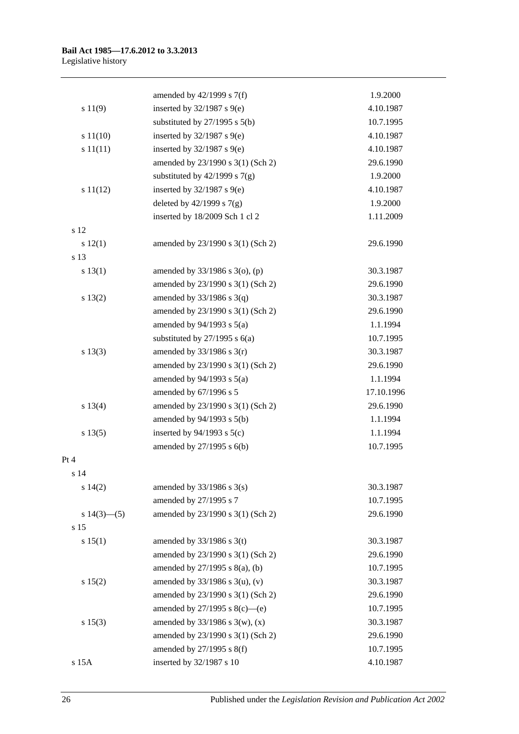|                   | amended by $42/1999$ s $7(f)$     | 1.9.2000   |
|-------------------|-----------------------------------|------------|
| s 11(9)           | inserted by $32/1987$ s $9(e)$    | 4.10.1987  |
|                   | substituted by $27/1995$ s $5(b)$ | 10.7.1995  |
| s 11(10)          | inserted by $32/1987$ s $9(e)$    | 4.10.1987  |
| s 11(11)          | inserted by $32/1987$ s $9(e)$    | 4.10.1987  |
|                   | amended by 23/1990 s 3(1) (Sch 2) | 29.6.1990  |
|                   | substituted by $42/1999$ s $7(g)$ | 1.9.2000   |
| s 11(12)          | inserted by $32/1987$ s $9(e)$    | 4.10.1987  |
|                   | deleted by $42/1999$ s $7(g)$     | 1.9.2000   |
|                   | inserted by 18/2009 Sch 1 cl 2    | 1.11.2009  |
| s 12              |                                   |            |
| s 12(1)           | amended by 23/1990 s 3(1) (Sch 2) | 29.6.1990  |
| s 13              |                                   |            |
| s 13(1)           | amended by 33/1986 s 3(o), (p)    | 30.3.1987  |
|                   | amended by 23/1990 s 3(1) (Sch 2) | 29.6.1990  |
| s 13(2)           | amended by $33/1986$ s $3(q)$     | 30.3.1987  |
|                   | amended by 23/1990 s 3(1) (Sch 2) | 29.6.1990  |
|                   | amended by $94/1993$ s $5(a)$     | 1.1.1994   |
|                   | substituted by $27/1995$ s $6(a)$ | 10.7.1995  |
| s 13(3)           | amended by $33/1986$ s $3(r)$     | 30.3.1987  |
|                   | amended by 23/1990 s 3(1) (Sch 2) | 29.6.1990  |
|                   | amended by $94/1993$ s $5(a)$     | 1.1.1994   |
|                   | amended by $67/1996$ s 5          | 17.10.1996 |
| s 13(4)           | amended by 23/1990 s 3(1) (Sch 2) | 29.6.1990  |
|                   | amended by 94/1993 s 5(b)         | 1.1.1994   |
| s 13(5)           | inserted by $94/1993$ s $5(c)$    | 1.1.1994   |
|                   | amended by 27/1995 s 6(b)         | 10.7.1995  |
| Pt 4              |                                   |            |
| s 14              |                                   |            |
| s 14(2)           | amended by $33/1986$ s $3(s)$     | 30.3.1987  |
|                   | amended by 27/1995 s 7            | 10.7.1995  |
| s $14(3)$ — $(5)$ | amended by 23/1990 s 3(1) (Sch 2) | 29.6.1990  |
| s 15              |                                   |            |
| s 15(1)           | amended by $33/1986$ s 3(t)       | 30.3.1987  |
|                   | amended by 23/1990 s 3(1) (Sch 2) | 29.6.1990  |
|                   | amended by 27/1995 s 8(a), (b)    | 10.7.1995  |
| s 15(2)           | amended by $33/1986$ s 3(u), (v)  | 30.3.1987  |
|                   | amended by 23/1990 s 3(1) (Sch 2) | 29.6.1990  |
|                   | amended by 27/1995 s 8(c)—(e)     | 10.7.1995  |
| s 15(3)           | amended by $33/1986$ s 3(w), (x)  | 30.3.1987  |
|                   | amended by 23/1990 s 3(1) (Sch 2) | 29.6.1990  |
|                   | amended by 27/1995 s 8(f)         | 10.7.1995  |
| s 15A             | inserted by 32/1987 s 10          | 4.10.1987  |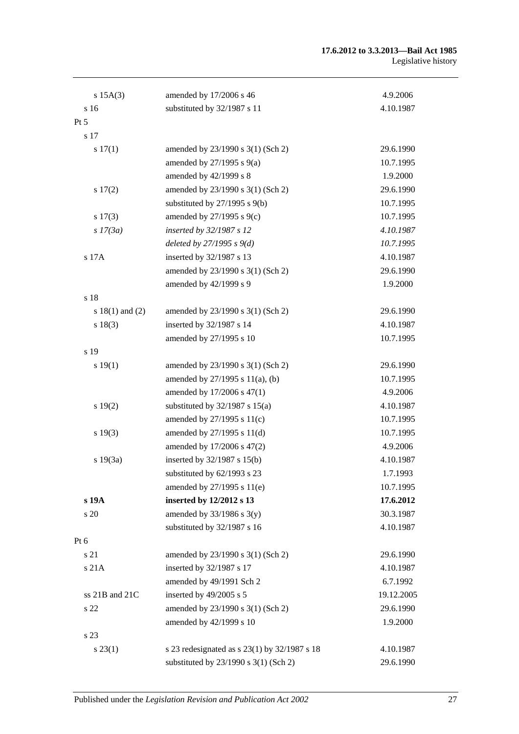#### **17.6.2012 to 3.3.2013—Bail Act 1985** Legislative history

| $s$ 15A(3)          | amended by 17/2006 s 46                      | 4.9.2006   |
|---------------------|----------------------------------------------|------------|
| s <sub>16</sub>     | substituted by 32/1987 s 11                  | 4.10.1987  |
| Pt 5                |                                              |            |
| s 17                |                                              |            |
| s 17(1)             | amended by 23/1990 s 3(1) (Sch 2)            | 29.6.1990  |
|                     | amended by $27/1995$ s $9(a)$                | 10.7.1995  |
|                     | amended by 42/1999 s 8                       | 1.9.2000   |
| s 17(2)             | amended by 23/1990 s 3(1) (Sch 2)            | 29.6.1990  |
|                     | substituted by $27/1995$ s $9(b)$            | 10.7.1995  |
| s 17(3)             | amended by $27/1995$ s $9(c)$                | 10.7.1995  |
| s 17(3a)            | inserted by 32/1987 s 12                     | 4.10.1987  |
|                     | deleted by $27/1995 s 9(d)$                  | 10.7.1995  |
| s 17A               | inserted by 32/1987 s 13                     | 4.10.1987  |
|                     | amended by 23/1990 s 3(1) (Sch 2)            | 29.6.1990  |
|                     | amended by 42/1999 s 9                       | 1.9.2000   |
| s 18                |                                              |            |
| s $18(1)$ and $(2)$ | amended by 23/1990 s 3(1) (Sch 2)            | 29.6.1990  |
| s 18(3)             | inserted by 32/1987 s 14                     | 4.10.1987  |
|                     | amended by 27/1995 s 10                      | 10.7.1995  |
| s 19                |                                              |            |
| s 19(1)             | amended by 23/1990 s 3(1) (Sch 2)            | 29.6.1990  |
|                     | amended by 27/1995 s 11(a), (b)              | 10.7.1995  |
|                     | amended by 17/2006 s 47(1)                   | 4.9.2006   |
| s 19(2)             | substituted by $32/1987$ s $15(a)$           | 4.10.1987  |
|                     | amended by 27/1995 s 11(c)                   | 10.7.1995  |
| s 19(3)             | amended by 27/1995 s 11(d)                   | 10.7.1995  |
|                     | amended by 17/2006 s 47(2)                   | 4.9.2006   |
| s 19(3a)            | inserted by 32/1987 s 15(b)                  | 4.10.1987  |
|                     | substituted by 62/1993 s 23                  | 1.7.1993   |
|                     | amended by 27/1995 s 11(e)                   | 10.7.1995  |
| s 19A               | inserted by 12/2012 s 13                     | 17.6.2012  |
| s 20                | amended by $33/1986$ s $3(y)$                | 30.3.1987  |
|                     | substituted by 32/1987 s 16                  | 4.10.1987  |
| Pt $6$              |                                              |            |
| s 21                | amended by 23/1990 s 3(1) (Sch 2)            | 29.6.1990  |
| s 21A               | inserted by 32/1987 s 17                     | 4.10.1987  |
|                     | amended by 49/1991 Sch 2                     | 6.7.1992   |
| ss 21B and 21C      | inserted by 49/2005 s 5                      | 19.12.2005 |
| s 22                | amended by 23/1990 s 3(1) (Sch 2)            | 29.6.1990  |
|                     | amended by 42/1999 s 10                      | 1.9.2000   |
| s 23                |                                              |            |
| $s\,23(1)$          | s 23 redesignated as s 23(1) by 32/1987 s 18 | 4.10.1987  |
|                     | substituted by 23/1990 s 3(1) (Sch 2)        | 29.6.1990  |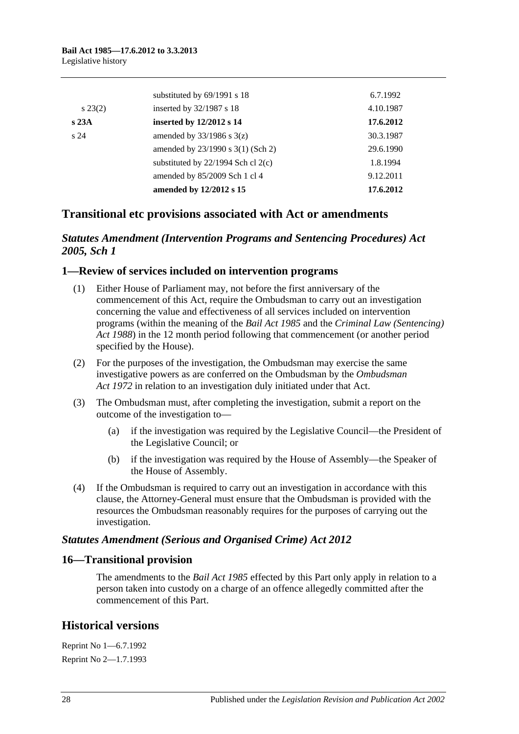|                 | substituted by 69/1991 s 18            | 6.7.1992  |
|-----------------|----------------------------------------|-----------|
| $s\,23(2)$      | inserted by 32/1987 s 18               | 4.10.1987 |
| s23A            | inserted by 12/2012 s 14               | 17.6.2012 |
| s <sub>24</sub> | amended by $33/1986$ s $3(z)$          | 30.3.1987 |
|                 | amended by 23/1990 s 3(1) (Sch 2)      | 29.6.1990 |
|                 | substituted by $22/1994$ Sch cl $2(c)$ | 1.8.1994  |
|                 | amended by 85/2009 Sch 1 cl 4          | 9.12.2011 |
|                 | amended by 12/2012 s 15                | 17.6.2012 |

## **Transitional etc provisions associated with Act or amendments**

## *Statutes Amendment (Intervention Programs and Sentencing Procedures) Act 2005, Sch 1*

### **1—Review of services included on intervention programs**

- (1) Either House of Parliament may, not before the first anniversary of the commencement of this Act, require the Ombudsman to carry out an investigation concerning the value and effectiveness of all services included on intervention programs (within the meaning of the *[Bail Act](http://www.legislation.sa.gov.au/index.aspx?action=legref&type=act&legtitle=Bail%20Act%201985) 1985* and the *[Criminal Law \(Sentencing\)](http://www.legislation.sa.gov.au/index.aspx?action=legref&type=act&legtitle=Criminal%20Law%20(Sentencing)%20Act%201988)  Act [1988](http://www.legislation.sa.gov.au/index.aspx?action=legref&type=act&legtitle=Criminal%20Law%20(Sentencing)%20Act%201988)*) in the 12 month period following that commencement (or another period specified by the House).
- (2) For the purposes of the investigation, the Ombudsman may exercise the same investigative powers as are conferred on the Ombudsman by the *[Ombudsman](http://www.legislation.sa.gov.au/index.aspx?action=legref&type=act&legtitle=Ombudsman%20Act%201972)  Act [1972](http://www.legislation.sa.gov.au/index.aspx?action=legref&type=act&legtitle=Ombudsman%20Act%201972)* in relation to an investigation duly initiated under that Act.
- (3) The Ombudsman must, after completing the investigation, submit a report on the outcome of the investigation to—
	- (a) if the investigation was required by the Legislative Council—the President of the Legislative Council; or
	- (b) if the investigation was required by the House of Assembly—the Speaker of the House of Assembly.
- (4) If the Ombudsman is required to carry out an investigation in accordance with this clause, the Attorney-General must ensure that the Ombudsman is provided with the resources the Ombudsman reasonably requires for the purposes of carrying out the investigation.

### *Statutes Amendment (Serious and Organised Crime) Act 2012*

### **16—Transitional provision**

The amendments to the *[Bail Act](http://www.legislation.sa.gov.au/index.aspx?action=legref&type=act&legtitle=Bail%20Act%201985) 1985* effected by this Part only apply in relation to a person taken into custody on a charge of an offence allegedly committed after the commencement of this Part.

## **Historical versions**

Reprint No 1—6.7.1992 Reprint No 2—1.7.1993